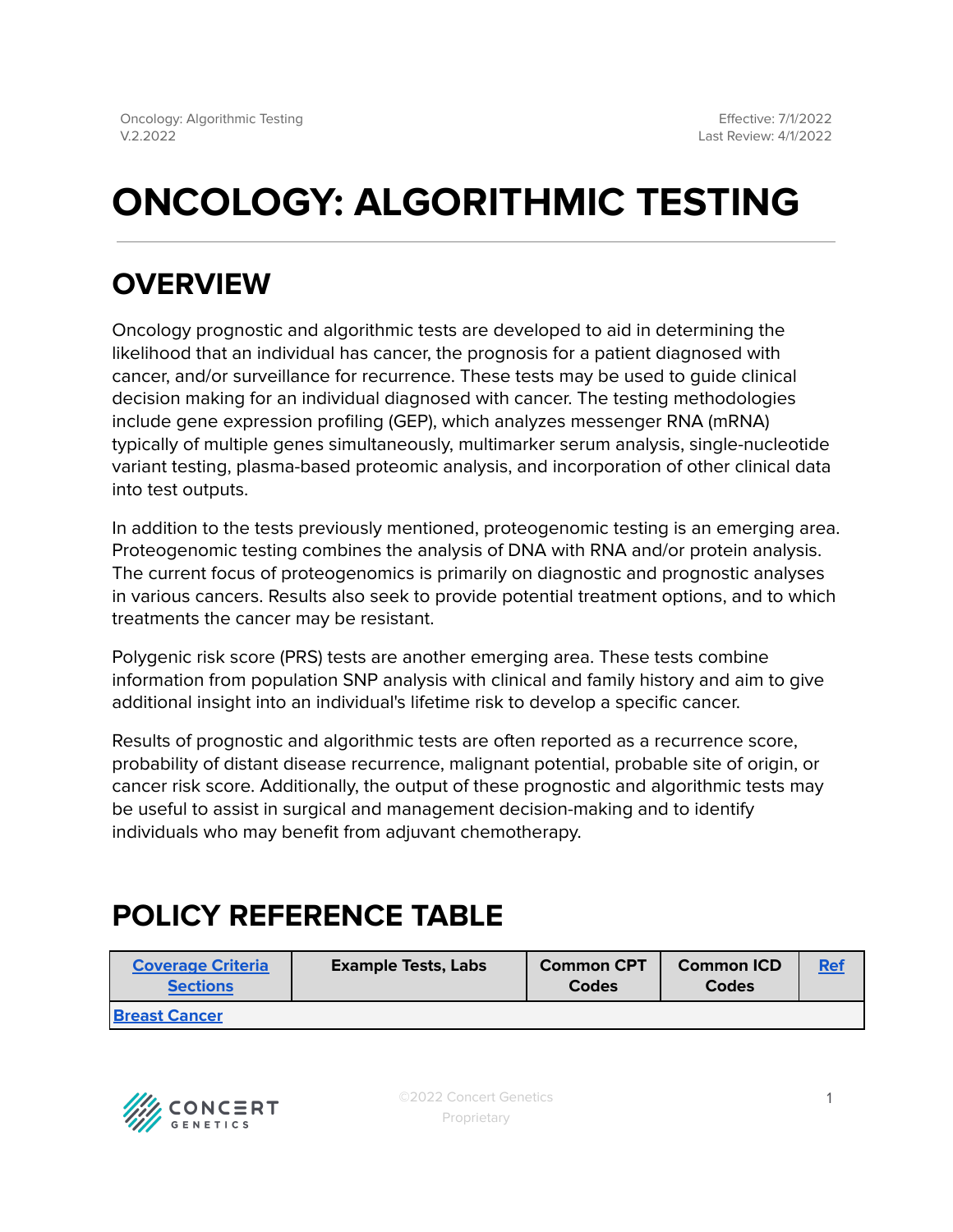# **ONCOLOGY: ALGORITHMIC TESTING**

## **OVERVIEW**

Oncology prognostic and algorithmic tests are developed to aid in determining the likelihood that an individual has cancer, the prognosis for a patient diagnosed with cancer, and/or surveillance for recurrence. These tests may be used to guide clinical decision making for an individual diagnosed with cancer. The testing methodologies include gene expression profiling (GEP), which analyzes messenger RNA (mRNA) typically of multiple genes simultaneously, multimarker serum analysis, single-nucleotide variant testing, plasma-based proteomic analysis, and incorporation of other clinical data into test outputs.

In addition to the tests previously mentioned, proteogenomic testing is an emerging area. Proteogenomic testing combines the analysis of DNA with RNA and/or protein analysis. The current focus of proteogenomics is primarily on diagnostic and prognostic analyses in various cancers. Results also seek to provide potential treatment options, and to which treatments the cancer may be resistant.

Polygenic risk score (PRS) tests are another emerging area. These tests combine information from population SNP analysis with clinical and family history and aim to give additional insight into an individual's lifetime risk to develop a specific cancer.

Results of prognostic and algorithmic tests are often reported as a recurrence score, probability of distant disease recurrence, malignant potential, probable site of origin, or cancer risk score. Additionally, the output of these prognostic and algorithmic tests may be useful to assist in surgical and management decision-making and to identify individuals who may benefit from adjuvant chemotherapy.

## <span id="page-0-0"></span>**POLICY REFERENCE TABLE**

| <b>Coverage Criteria</b><br><b>Sections</b> | <b>Example Tests, Labs</b> | <b>Common CPT</b><br>Codes | <b>Common ICD</b><br><b>Codes</b> | <b>Ref</b> |
|---------------------------------------------|----------------------------|----------------------------|-----------------------------------|------------|
| <b>IBreast Cancer</b>                       |                            |                            |                                   |            |

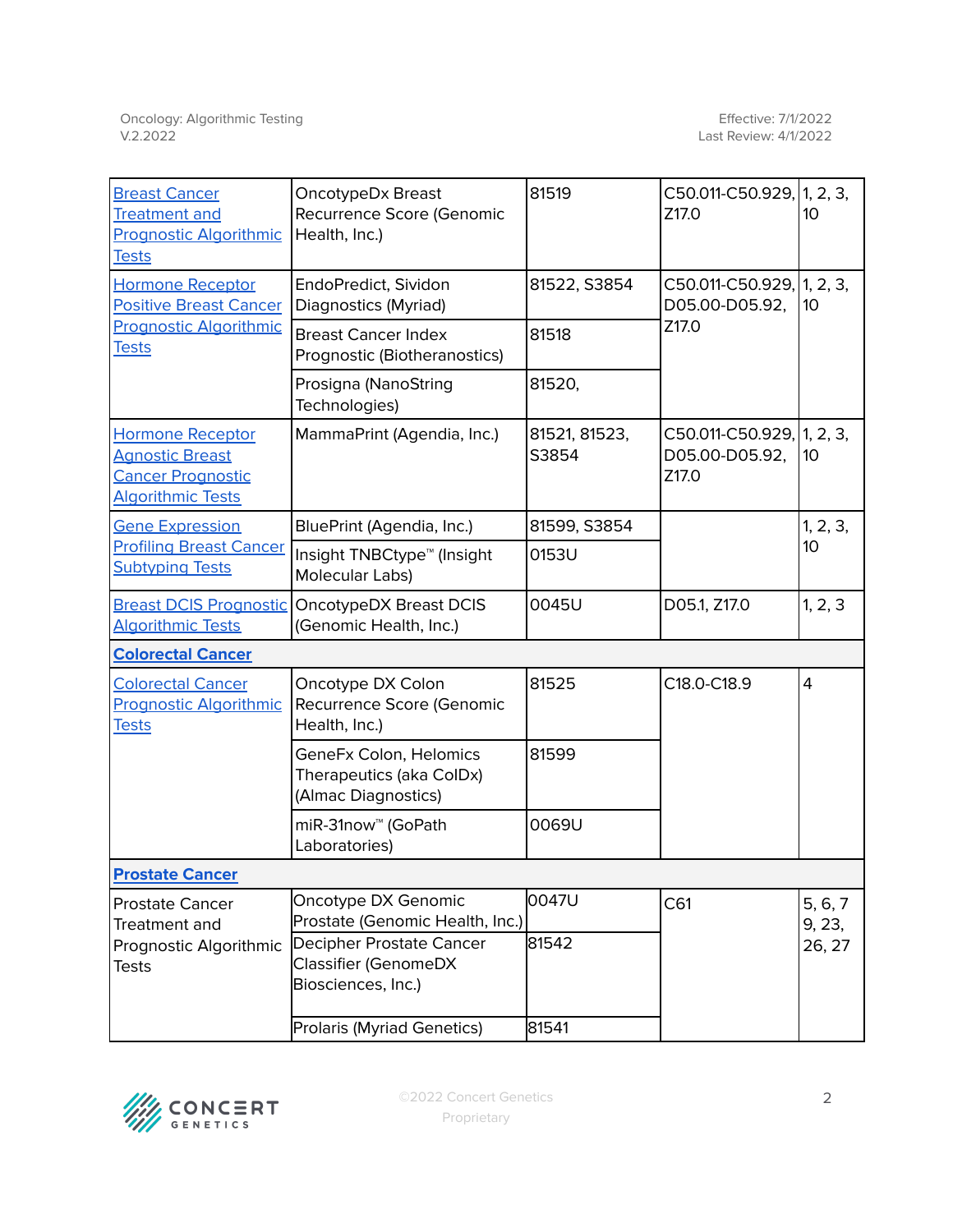| <b>Breast Cancer</b><br><b>Treatment and</b><br><b>Prognostic Algorithmic</b><br><b>Tests</b>             | OncotypeDx Breast<br>Recurrence Score (Genomic<br>Health, Inc.)           | 81519                  | C50.011-C50.929, 1, 2, 3,<br>Z17.0                        | 10                |  |
|-----------------------------------------------------------------------------------------------------------|---------------------------------------------------------------------------|------------------------|-----------------------------------------------------------|-------------------|--|
| <b>Hormone Receptor</b><br><b>Positive Breast Cancer</b><br><b>Prognostic Algorithmic</b><br><b>Tests</b> | EndoPredict, Sividon<br>Diagnostics (Myriad)                              | 81522, S3854           | $C50.011 - C50.929,  1, 2, 3,$<br>D05.00-D05.92,<br>Z17.0 | 10                |  |
|                                                                                                           | <b>Breast Cancer Index</b><br>Prognostic (Biotheranostics)                | 81518                  |                                                           |                   |  |
|                                                                                                           | Prosigna (NanoString<br>Technologies)                                     | 81520,                 |                                                           |                   |  |
| <b>Hormone Receptor</b><br><b>Agnostic Breast</b><br><b>Cancer Prognostic</b><br><b>Algorithmic Tests</b> | MammaPrint (Agendia, Inc.)                                                | 81521, 81523,<br>S3854 | C50.011-C50.929, 1, 2, 3,<br>D05.00-D05.92,<br>Z17.0      | 10                |  |
| <b>Gene Expression</b>                                                                                    | BluePrint (Agendia, Inc.)                                                 | 81599, S3854           |                                                           | 1, 2, 3,          |  |
| <b>Profiling Breast Cancer</b><br><b>Subtyping Tests</b>                                                  | Insight TNBCtype <sup>™</sup> (Insight<br>Molecular Labs)                 | 0153U                  |                                                           | 10                |  |
| <b>Breast DCIS Prognostic</b><br><b>Algorithmic Tests</b>                                                 | OncotypeDX Breast DCIS<br>(Genomic Health, Inc.)                          | 0045U                  | D05.1, Z17.0                                              | 1, 2, 3           |  |
| <b>Colorectal Cancer</b>                                                                                  |                                                                           |                        |                                                           |                   |  |
| <b>Colorectal Cancer</b><br><b>Prognostic Algorithmic</b><br><b>Tests</b>                                 | Oncotype DX Colon<br>Recurrence Score (Genomic<br>Health, Inc.)           | 81525                  | C18.0-C18.9                                               | $\overline{4}$    |  |
|                                                                                                           | GeneFx Colon, Helomics<br>Therapeutics (aka ColDx)<br>(Almac Diagnostics) | 81599                  |                                                           |                   |  |
|                                                                                                           | miR-31now <sup>™</sup> (GoPath<br>Laboratories)                           | 0069U                  |                                                           |                   |  |
| <b>Prostate Cancer</b>                                                                                    |                                                                           |                        |                                                           |                   |  |
| <b>Prostate Cancer</b><br>Treatment and<br>Prognostic Algorithmic<br><b>Tests</b>                         | Oncotype DX Genomic<br>Prostate (Genomic Health, Inc.)                    | 0047U                  | C61                                                       | 5, 6, 7<br>9, 23, |  |
|                                                                                                           | Decipher Prostate Cancer<br>Classifier (GenomeDX<br>Biosciences, Inc.)    | 81542                  |                                                           | 26, 27            |  |
|                                                                                                           | Prolaris (Myriad Genetics)                                                | 81541                  |                                                           |                   |  |

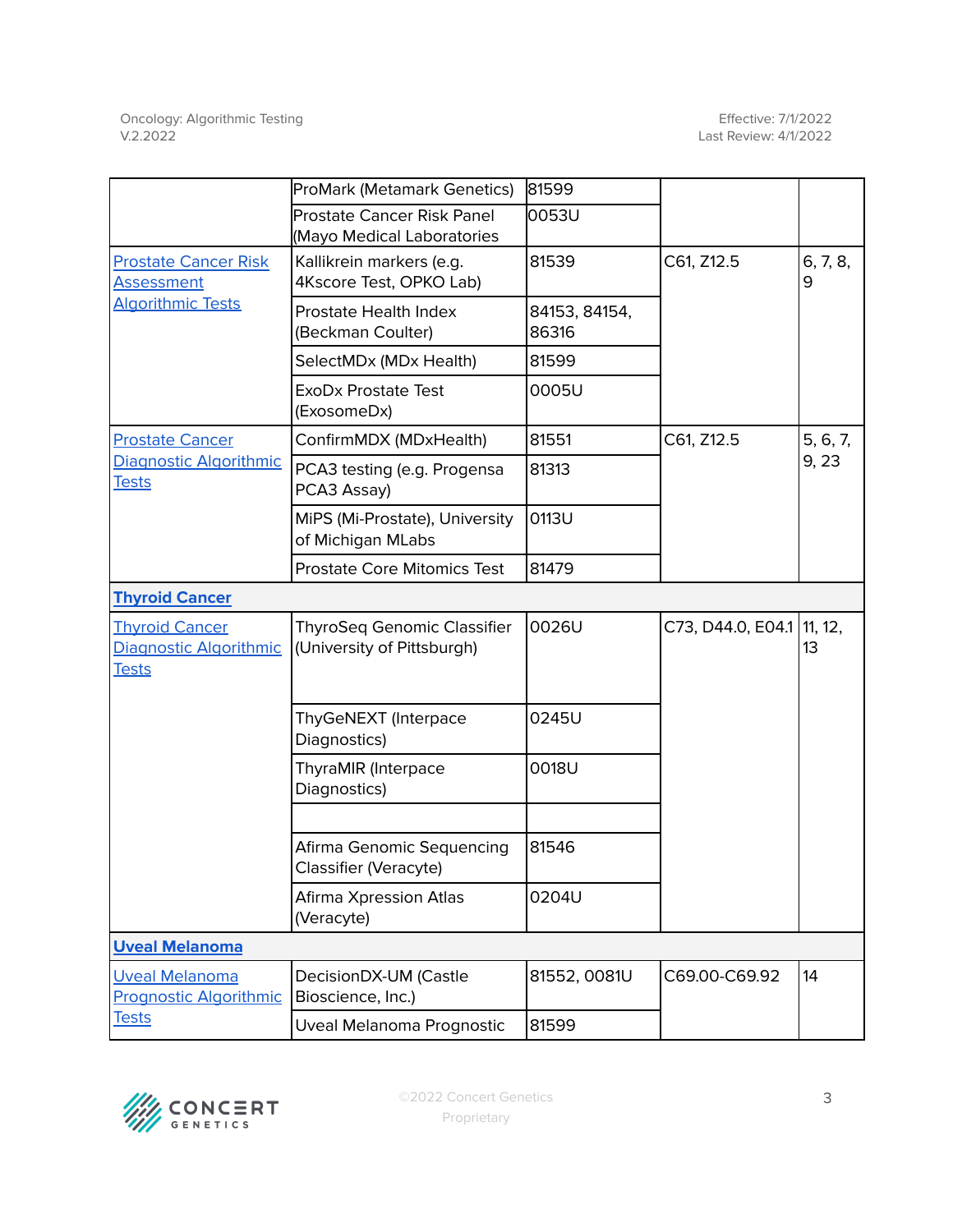|                                                                 | ProMark (Metamark Genetics)                                     | 81599                  |                   |               |
|-----------------------------------------------------------------|-----------------------------------------------------------------|------------------------|-------------------|---------------|
|                                                                 | <b>Prostate Cancer Risk Panel</b><br>(Mayo Medical Laboratories | 0053U                  |                   |               |
| <b>Prostate Cancer Risk</b><br><b>Assessment</b>                | Kallikrein markers (e.g.<br>4Kscore Test, OPKO Lab)             | 81539                  | C61, Z12.5        | 6, 7, 8,<br>9 |
| <b>Algorithmic Tests</b>                                        | Prostate Health Index<br>(Beckman Coulter)                      | 84153, 84154,<br>86316 |                   |               |
|                                                                 | SelectMDx (MDx Health)                                          | 81599                  |                   |               |
|                                                                 | <b>ExoDx Prostate Test</b><br>(ExosomeDx)                       | 0005U                  |                   |               |
| <b>Prostate Cancer</b>                                          | ConfirmMDX (MDxHealth)                                          | 81551                  | C61, Z12.5        | 5, 6, 7,      |
| Diagnostic Algorithmic<br><b>Tests</b>                          | PCA3 testing (e.g. Progensa<br>PCA3 Assay)                      | 81313                  |                   | 9, 23         |
|                                                                 | MiPS (Mi-Prostate), University<br>of Michigan MLabs             | 0113U                  |                   |               |
|                                                                 | <b>Prostate Core Mitomics Test</b>                              | 81479                  |                   |               |
| <b>Thyroid Cancer</b>                                           |                                                                 |                        |                   |               |
| <b>Thyroid Cancer</b><br>Diagnostic Algorithmic<br><b>Tests</b> | ThyroSeq Genomic Classifier<br>(University of Pittsburgh)       | 0026U                  | C73, D44.0, E04.1 | 11, 12,<br>13 |
|                                                                 | ThyGeNEXT (Interpace<br>Diagnostics)                            | 0245U                  |                   |               |
|                                                                 | ThyraMIR (Interpace<br>Diagnostics)                             | 0018U                  |                   |               |
|                                                                 | Afirma Genomic Sequencing<br>Classifier (Veracyte)              | 81546                  |                   |               |
|                                                                 | Afirma Xpression Atlas<br>(Veracyte)                            | 0204U                  |                   |               |
| <b>Uveal Melanoma</b>                                           |                                                                 |                        |                   |               |
| <b>Uveal Melanoma</b><br><b>Prognostic Algorithmic</b>          | DecisionDX-UM (Castle<br>Bioscience, Inc.)                      | 81552, 0081U           | C69.00-C69.92     | 14            |
| <b>Tests</b>                                                    | Uveal Melanoma Prognostic                                       | 81599                  |                   |               |

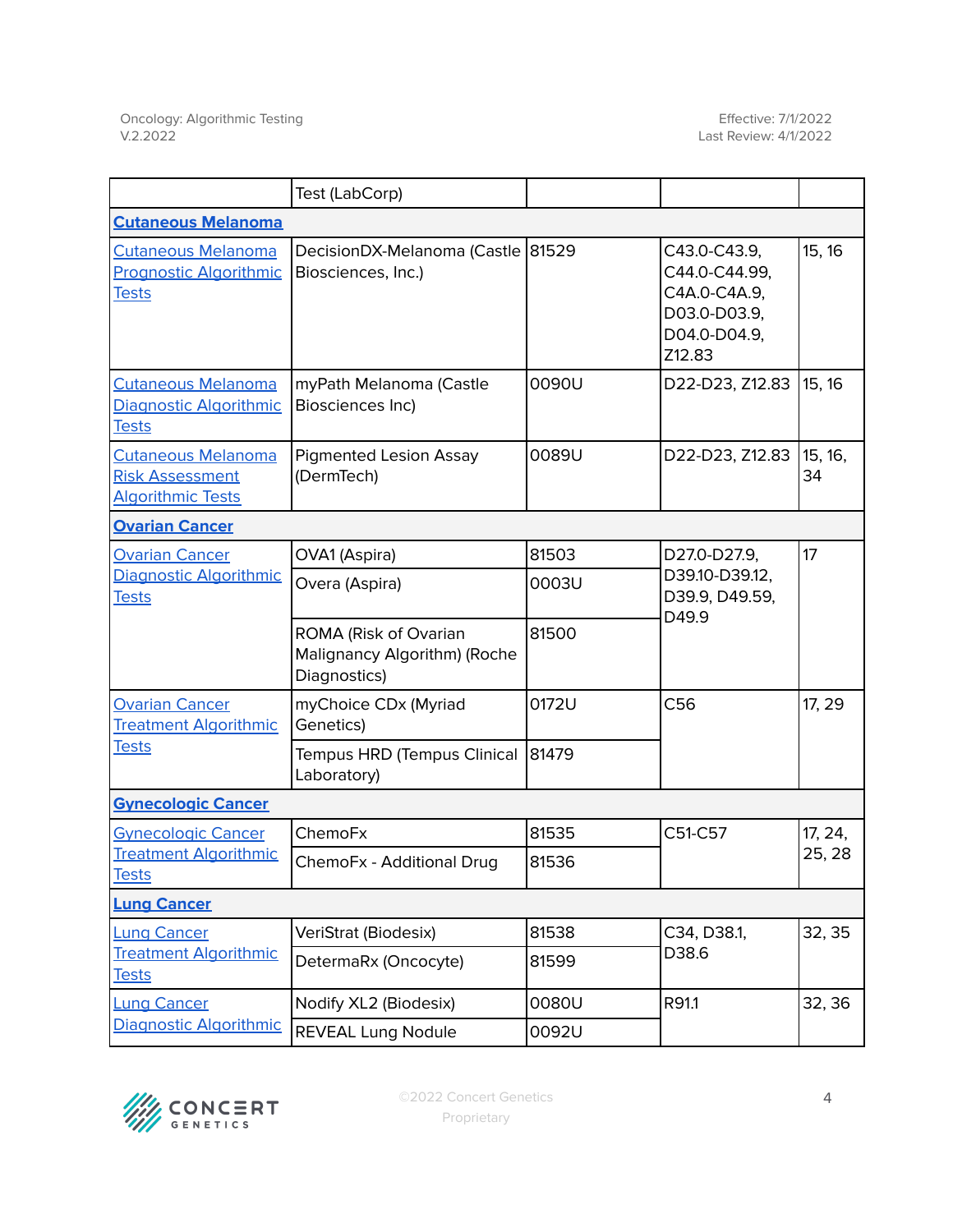|                                                                                 | Test (LabCorp)                                                        |       |                                                                                         |               |  |
|---------------------------------------------------------------------------------|-----------------------------------------------------------------------|-------|-----------------------------------------------------------------------------------------|---------------|--|
| <b>Cutaneous Melanoma</b>                                                       |                                                                       |       |                                                                                         |               |  |
| <b>Cutaneous Melanoma</b><br><b>Prognostic Algorithmic</b><br><b>Tests</b>      | DecisionDX-Melanoma (Castle 81529<br>Biosciences, Inc.)               |       | C43.0-C43.9,<br>C44.0-C44.99,<br>C4A.0-C4A.9,<br>D03.0-D03.9,<br>D04.0-D04.9,<br>Z12.83 | 15, 16        |  |
| <b>Cutaneous Melanoma</b><br>Diagnostic Algorithmic<br><b>Tests</b>             | myPath Melanoma (Castle<br>Biosciences Inc)                           | 0090U | D22-D23, Z12.83                                                                         | 15, 16        |  |
| <b>Cutaneous Melanoma</b><br><b>Risk Assessment</b><br><b>Algorithmic Tests</b> | <b>Pigmented Lesion Assay</b><br>(DermTech)                           | 0089U | D22-D23, Z12.83                                                                         | 15, 16,<br>34 |  |
| <b>Ovarian Cancer</b>                                                           |                                                                       |       |                                                                                         |               |  |
| <b>Ovarian Cancer</b>                                                           | OVA1 (Aspira)                                                         | 81503 | D27.0-D27.9,<br>D39.10-D39.12,<br>D39.9, D49.59,<br>D49.9                               | 17            |  |
| Diagnostic Algorithmic<br><b>Tests</b>                                          | Overa (Aspira)                                                        | 0003U |                                                                                         |               |  |
|                                                                                 | ROMA (Risk of Ovarian<br>Malignancy Algorithm) (Roche<br>Diagnostics) | 81500 |                                                                                         |               |  |
| <b>Ovarian Cancer</b><br><b>Treatment Algorithmic</b><br><b>Tests</b>           | myChoice CDx (Myriad<br>Genetics)                                     | 0172U | C56                                                                                     | 17, 29        |  |
|                                                                                 | Tempus HRD (Tempus Clinical<br>Laboratory)                            | 81479 |                                                                                         |               |  |
| <b>Gynecologic Cancer</b>                                                       |                                                                       |       |                                                                                         |               |  |
| <b>Gynecologic Cancer</b>                                                       | ChemoFx                                                               | 81535 | C51-C57                                                                                 | 17, 24,       |  |
| <b>Treatment Algorithmic</b><br><b>Tests</b>                                    | ChemoFx - Additional Drug                                             | 81536 |                                                                                         | 25, 28        |  |
| <b>Lung Cancer</b>                                                              |                                                                       |       |                                                                                         |               |  |
| <b>Lung Cancer</b><br><b>Treatment Algorithmic</b><br><b>Tests</b>              | VeriStrat (Biodesix)                                                  | 81538 | C34, D38.1,<br>D38.6                                                                    | 32, 35        |  |
|                                                                                 | DetermaRx (Oncocyte)                                                  | 81599 |                                                                                         |               |  |
| <b>Lung Cancer</b><br>Diagnostic Algorithmic                                    | Nodify XL2 (Biodesix)                                                 | 0080U | R91.1                                                                                   | 32, 36        |  |
|                                                                                 | <b>REVEAL Lung Nodule</b>                                             | 0092U |                                                                                         |               |  |

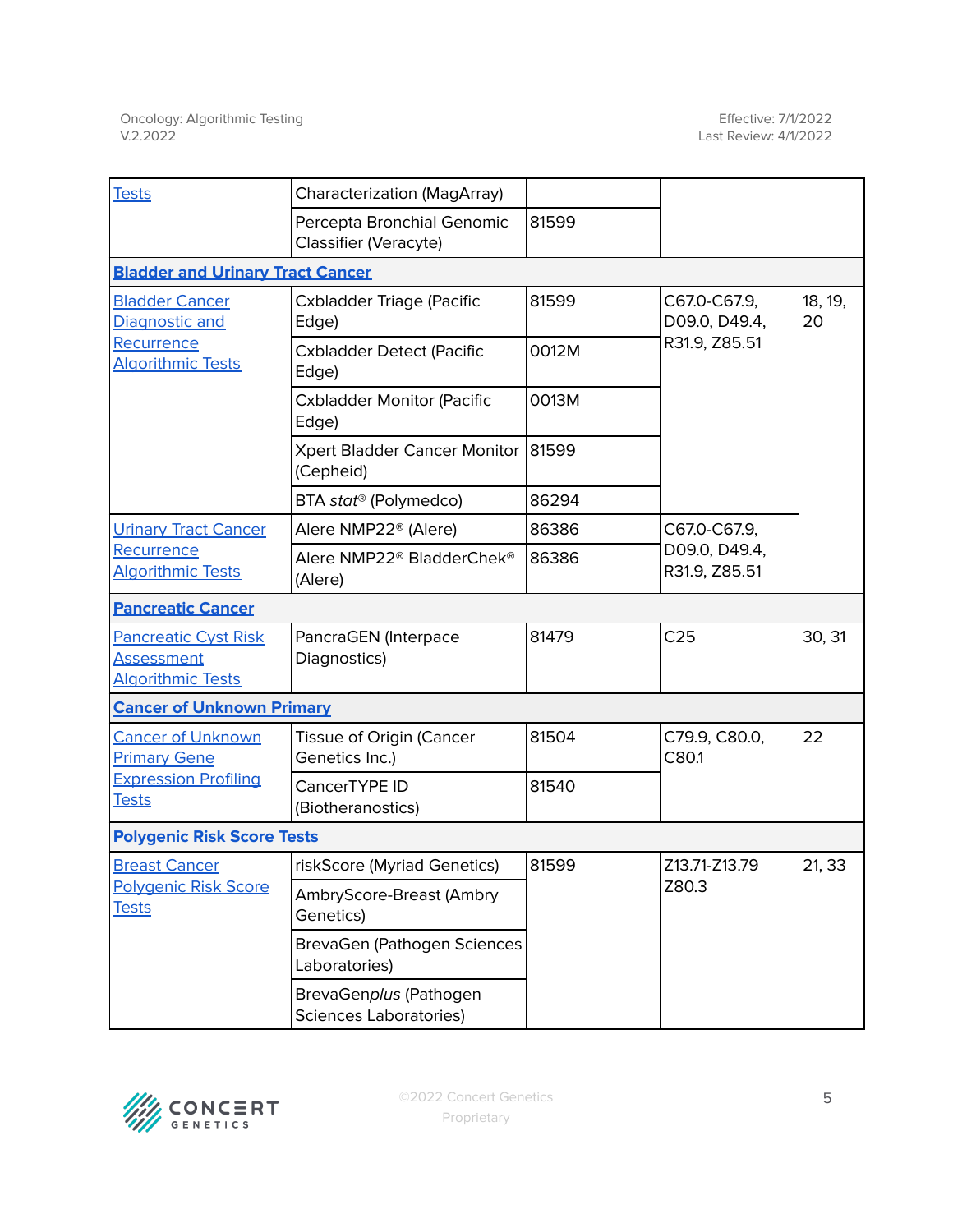| <b>Tests</b>                                                                      | Characterization (MagArray)                             |       |                                |               |
|-----------------------------------------------------------------------------------|---------------------------------------------------------|-------|--------------------------------|---------------|
|                                                                                   | Percepta Bronchial Genomic<br>Classifier (Veracyte)     | 81599 |                                |               |
| <b>Bladder and Urinary Tract Cancer</b>                                           |                                                         |       |                                |               |
| <b>Bladder Cancer</b><br>Diagnostic and<br>Recurrence<br><b>Algorithmic Tests</b> | Cxbladder Triage (Pacific<br>Edge)                      | 81599 | C67.0-C67.9,<br>D09.0, D49.4,  | 18, 19,<br>20 |
|                                                                                   | <b>Cxbladder Detect (Pacific</b><br>Edge)               | 0012M | R31.9, Z85.51                  |               |
|                                                                                   | <b>Cxbladder Monitor (Pacific</b><br>Edge)              | 0013M |                                |               |
|                                                                                   | Xpert Bladder Cancer Monitor<br>(Cepheid)               | 81599 |                                |               |
|                                                                                   | BTA stat <sup>®</sup> (Polymedco)                       | 86294 |                                |               |
| <b>Urinary Tract Cancer</b>                                                       | Alere NMP22 <sup>®</sup> (Alere)                        | 86386 | C67.0-C67.9,                   |               |
| Recurrence<br><b>Algorithmic Tests</b>                                            | Alere NMP22® BladderChek®<br>(Alere)                    | 86386 | D09.0, D49.4,<br>R31.9, Z85.51 |               |
| <b>Pancreatic Cancer</b>                                                          |                                                         |       |                                |               |
| <b>Pancreatic Cyst Risk</b><br><b>Assessment</b><br><b>Algorithmic Tests</b>      | PancraGEN (Interpace<br>Diagnostics)                    | 81479 | C <sub>25</sub>                | 30, 31        |
| <b>Cancer of Unknown Primary</b>                                                  |                                                         |       |                                |               |
| <b>Cancer of Unknown</b><br><b>Primary Gene</b>                                   | Tissue of Origin (Cancer<br>Genetics Inc.)              | 81504 | C79.9, C80.0,<br>C80.1         | 22            |
| <b>Expression Profiling</b><br><b>Tests</b>                                       | CancerTYPE ID<br>(Biotheranostics)                      | 81540 |                                |               |
| <b>Polygenic Risk Score Tests</b>                                                 |                                                         |       |                                |               |
| <b>Breast Cancer</b>                                                              | riskScore (Myriad Genetics)                             | 81599 | Z13.71-Z13.79                  | 21, 33        |
| Polygenic Risk Score<br><b>Tests</b>                                              | AmbryScore-Breast (Ambry<br>Genetics)                   |       | Z80.3                          |               |
|                                                                                   | BrevaGen (Pathogen Sciences<br>Laboratories)            |       |                                |               |
|                                                                                   | BrevaGenplus (Pathogen<br><b>Sciences Laboratories)</b> |       |                                |               |

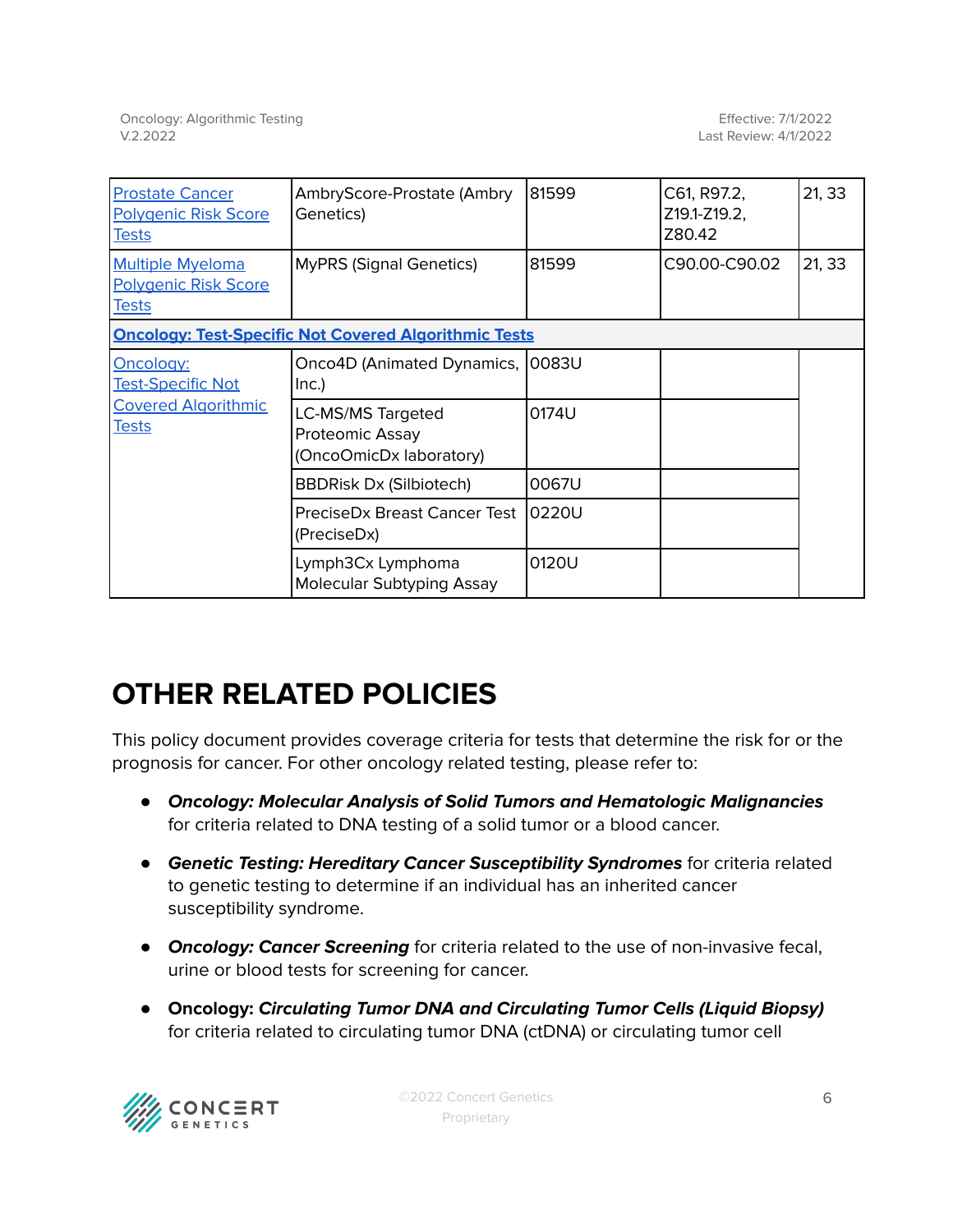| <b>Prostate Cancer</b><br><b>Polygenic Risk Score</b><br><u>Tests</u>               | AmbryScore-Prostate (Ambry<br>Genetics)                         | 81599 | C61, R97.2,<br>Z19.1-Z19.2,<br>Z80.42 | 21, 33 |
|-------------------------------------------------------------------------------------|-----------------------------------------------------------------|-------|---------------------------------------|--------|
| <b>Multiple Myeloma</b><br>Polygenic Risk Score<br><u>Tests</u>                     | <b>MyPRS (Signal Genetics)</b>                                  | 81599 | C90.00-C90.02                         | 21, 33 |
| <b>Oncology: Test-Specific Not Covered Algorithmic Tests</b>                        |                                                                 |       |                                       |        |
| Oncology:<br><b>Test-Specific Not</b><br><b>Covered Algorithmic</b><br><b>Tests</b> | Onco4D (Animated Dynamics, 10083U<br>Inc.)                      |       |                                       |        |
|                                                                                     | LC-MS/MS Targeted<br>Proteomic Assay<br>(OncoOmicDx laboratory) | 0174U |                                       |        |
|                                                                                     | <b>BBDRisk Dx (Silbiotech)</b>                                  | 0067U |                                       |        |
|                                                                                     | PreciseDx Breast Cancer Test<br>(PreciseDx)                     | 0220U |                                       |        |
|                                                                                     | Lymph3Cx Lymphoma<br>Molecular Subtyping Assay                  | 0120U |                                       |        |

## **OTHER RELATED POLICIES**

This policy document provides coverage criteria for tests that determine the risk for or the prognosis for cancer. For other oncology related testing, please refer to:

- **Oncology: Molecular Analysis of Solid Tumors and Hematologic Malignancies** for criteria related to DNA testing of a solid tumor or a blood cancer.
- **Genetic Testing: Hereditary Cancer Susceptibility Syndromes** for criteria related to genetic testing to determine if an individual has an inherited cancer susceptibility syndrome.
- **Oncology: Cancer Screening** for criteria related to the use of non-invasive fecal, urine or blood tests for screening for cancer.
- **Oncology: Circulating Tumor DNA and Circulating Tumor Cells (Liquid Biopsy)** for criteria related to circulating tumor DNA (ctDNA) or circulating tumor cell

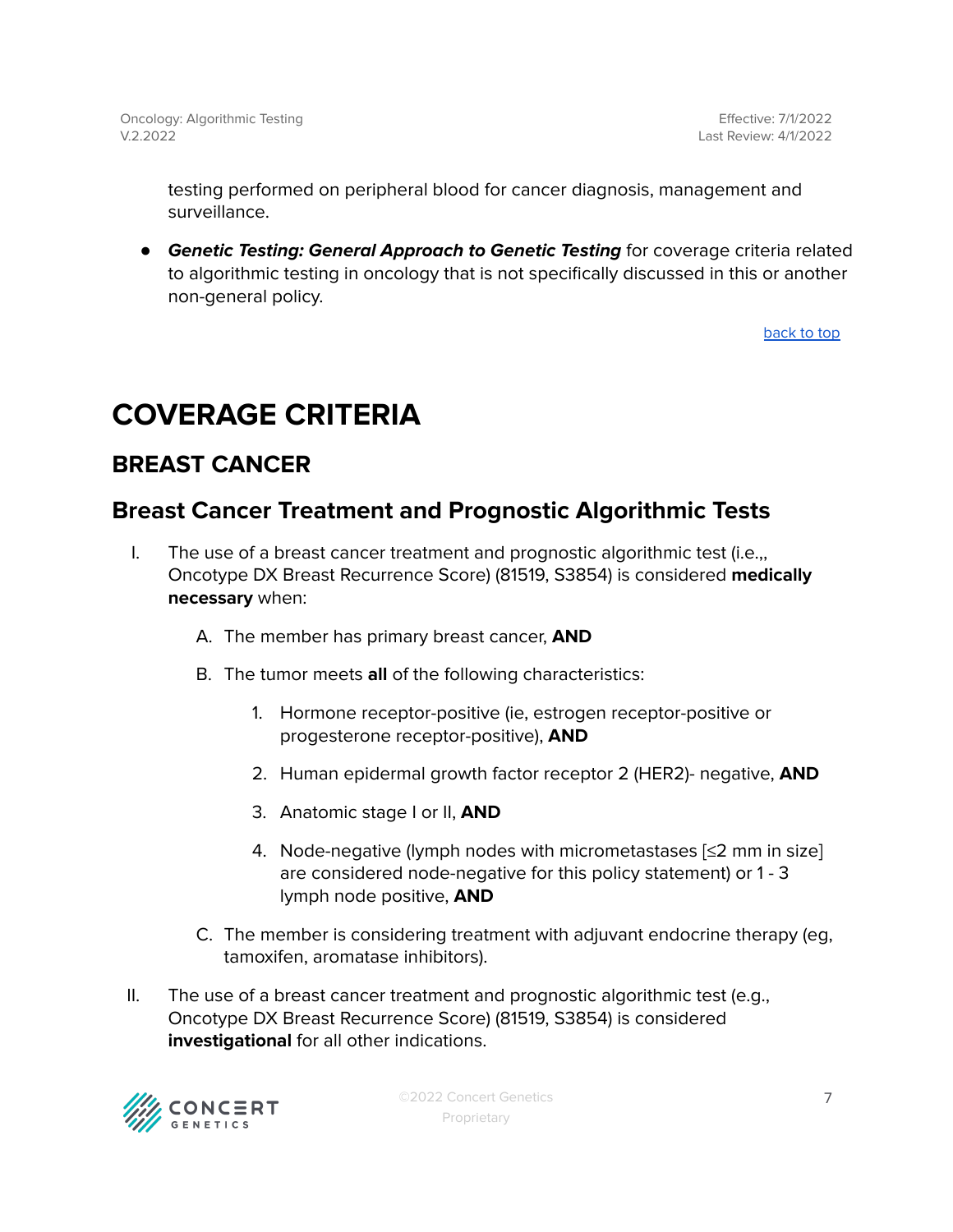testing performed on peripheral blood for cancer diagnosis, management and surveillance.

● **Genetic Testing: General Approach to Genetic Testing** for coverage criteria related to algorithmic testing in oncology that is not specifically discussed in this or another non-general policy.

[back](#page-0-0) to top

## <span id="page-6-0"></span>**COVERAGE CRITERIA**

### <span id="page-6-1"></span>**BREAST CANCER**

### <span id="page-6-2"></span>**Breast Cancer Treatment and Prognostic Algorithmic Tests**

- I. The use of a breast cancer treatment and prognostic algorithmic test (i.e.,, Oncotype DX Breast Recurrence Score) (81519, S3854) is considered **medically necessary** when:
	- A. The member has primary breast cancer, **AND**
	- B. The tumor meets **all** of the following characteristics:
		- 1. Hormone receptor-positive (ie, estrogen receptor-positive or progesterone receptor-positive), **AND**
		- 2. Human epidermal growth factor receptor 2 (HER2)- negative, **AND**
		- 3. Anatomic stage I or II, **AND**
		- 4. Node-negative (lymph nodes with micrometastases [≤2 mm in size] are considered node-negative for this policy statement) or 1 - 3 lymph node positive, **AND**
	- C. The member is considering treatment with adjuvant endocrine therapy (eg, tamoxifen, aromatase inhibitors).
- II. The use of a breast cancer treatment and prognostic algorithmic test (e.g., Oncotype DX Breast Recurrence Score) (81519, S3854) is considered **investigational** for all other indications.

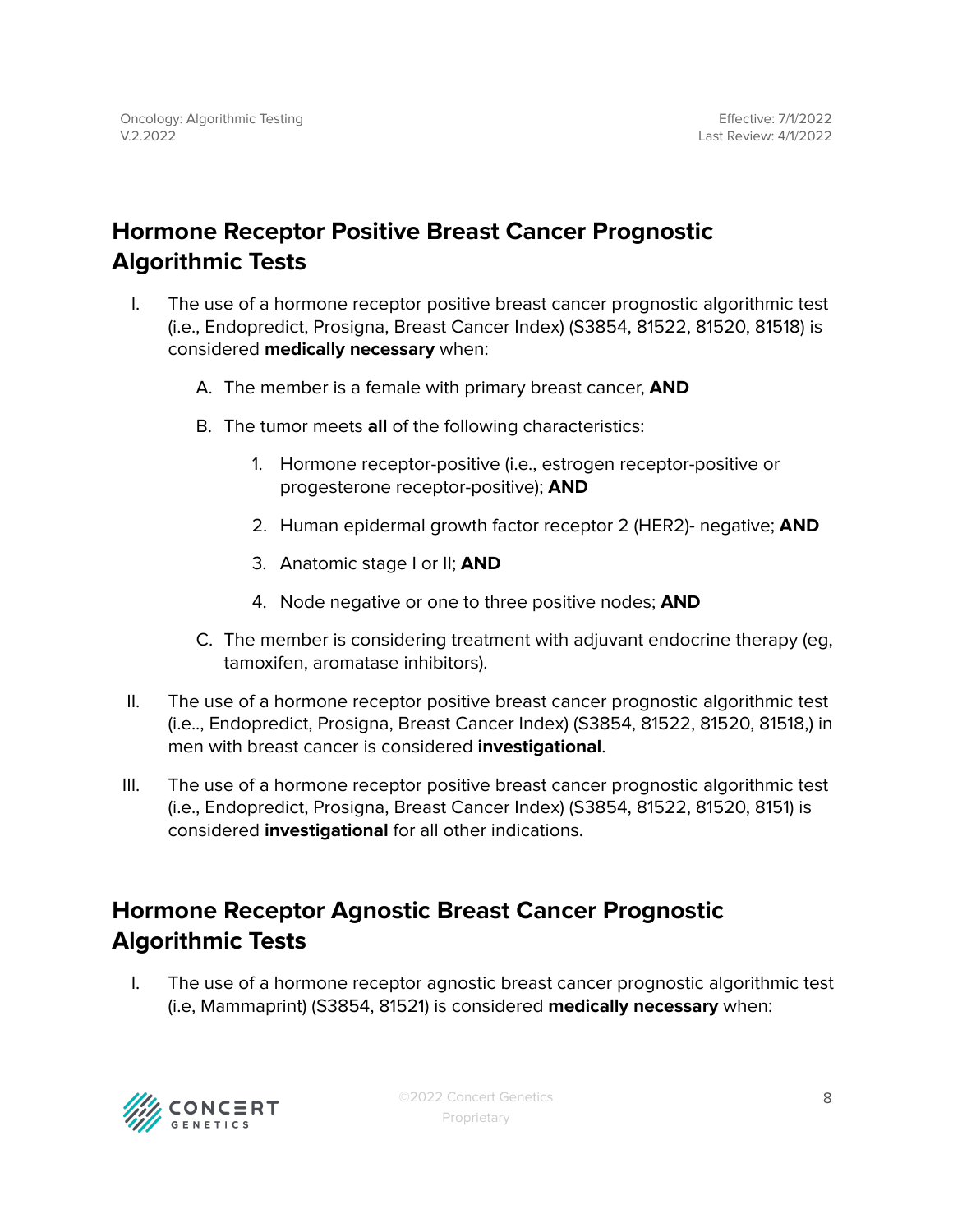### <span id="page-7-0"></span>**Hormone Receptor Positive Breast Cancer Prognostic Algorithmic Tests**

- I. The use of a hormone receptor positive breast cancer prognostic algorithmic test (i.e., Endopredict, Prosigna, Breast Cancer Index) (S3854, 81522, 81520, 81518) is considered **medically necessary** when:
	- A. The member is a female with primary breast cancer, **AND**
	- B. The tumor meets **all** of the following characteristics:
		- 1. Hormone receptor-positive (i.e., estrogen receptor-positive or progesterone receptor-positive); **AND**
		- 2. Human epidermal growth factor receptor 2 (HER2)- negative; **AND**
		- 3. Anatomic stage I or II; **AND**
		- 4. Node negative or one to three positive nodes; **AND**
	- C. The member is considering treatment with adjuvant endocrine therapy (eg, tamoxifen, aromatase inhibitors).
- II. The use of a hormone receptor positive breast cancer prognostic algorithmic test (i.e.., Endopredict, Prosigna, Breast Cancer Index) (S3854, 81522, 81520, 81518,) in men with breast cancer is considered **investigational**.
- III. The use of a hormone receptor positive breast cancer prognostic algorithmic test (i.e., Endopredict, Prosigna, Breast Cancer Index) (S3854, 81522, 81520, 8151) is considered **investigational** for all other indications.

### <span id="page-7-1"></span>**Hormone Receptor Agnostic Breast Cancer Prognostic Algorithmic Tests**

I. The use of a hormone receptor agnostic breast cancer prognostic algorithmic test (i.e, Mammaprint) (S3854, 81521) is considered **medically necessary** when:

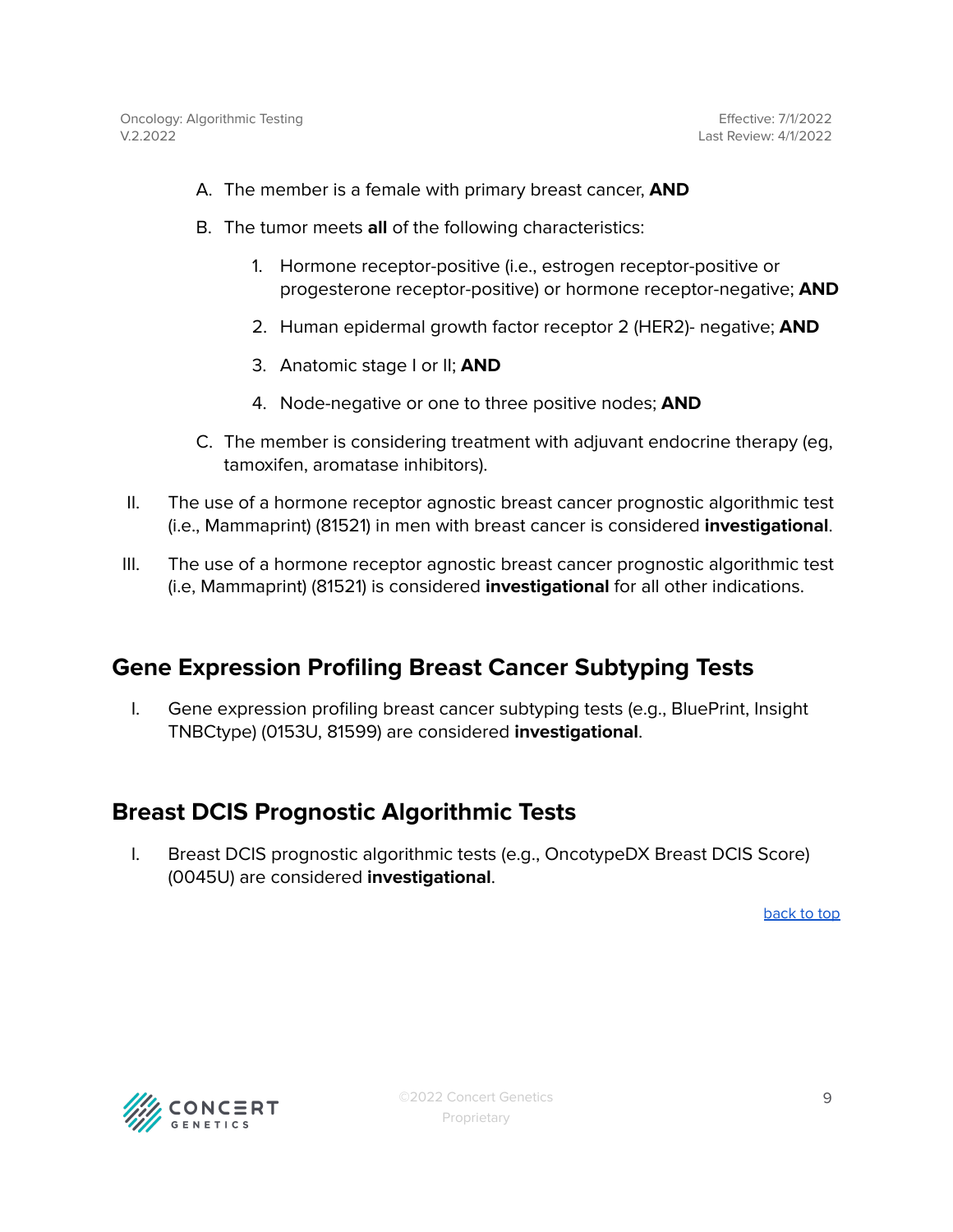- A. The member is a female with primary breast cancer, **AND**
- B. The tumor meets **all** of the following characteristics:
	- 1. Hormone receptor-positive (i.e., estrogen receptor-positive or progesterone receptor-positive) or hormone receptor-negative; **AND**
	- 2. Human epidermal growth factor receptor 2 (HER2)- negative; **AND**
	- 3. Anatomic stage I or II; **AND**
	- 4. Node-negative or one to three positive nodes; **AND**
- C. The member is considering treatment with adjuvant endocrine therapy (eg, tamoxifen, aromatase inhibitors).
- II. The use of a hormone receptor agnostic breast cancer prognostic algorithmic test (i.e., Mammaprint) (81521) in men with breast cancer is considered **investigational**.
- III. The use of a hormone receptor agnostic breast cancer prognostic algorithmic test (i.e, Mammaprint) (81521) is considered **investigational** for all other indications.

#### <span id="page-8-0"></span>**Gene Expression Profiling Breast Cancer Subtyping Tests**

I. Gene expression profiling breast cancer subtyping tests (e.g., BluePrint, Insight TNBCtype) (0153U, 81599) are considered **investigational**.

#### <span id="page-8-1"></span>**Breast DCIS Prognostic Algorithmic Tests**

I. Breast DCIS prognostic algorithmic tests (e.g., OncotypeDX Breast DCIS Score) (0045U) are considered **investigational**.

[back](#page-0-0) to top

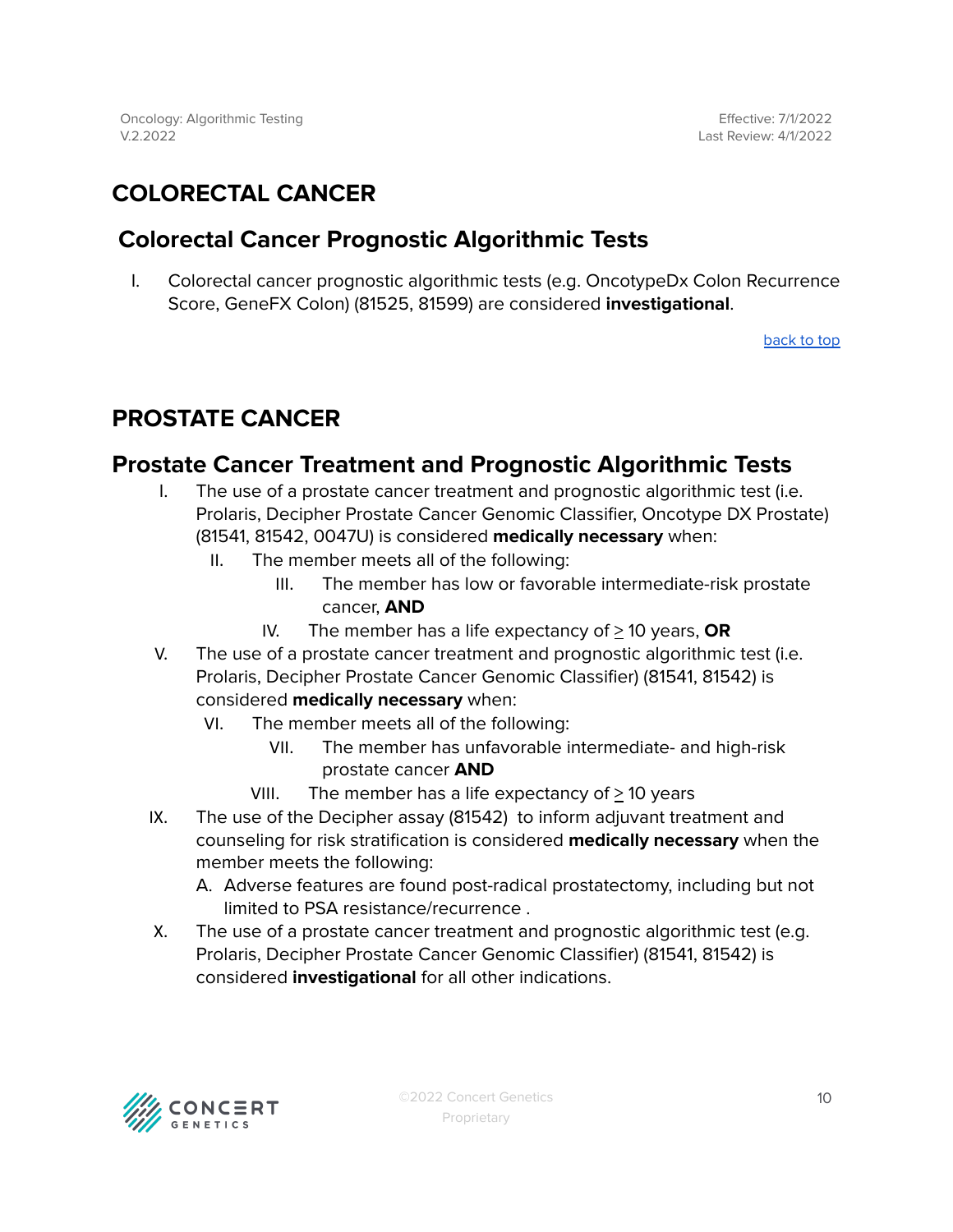### <span id="page-9-0"></span>**COLORECTAL CANCER**

### <span id="page-9-1"></span>**Colorectal Cancer Prognostic Algorithmic Tests**

I. Colorectal cancer prognostic algorithmic tests (e.g. OncotypeDx Colon Recurrence Score, GeneFX Colon) (81525, 81599) are considered **investigational**.

[back](#page-0-0) to top

### <span id="page-9-2"></span>**PROSTATE CANCER**

### **Prostate Cancer Treatment and Prognostic Algorithmic Tests**

- I. The use of a prostate cancer treatment and prognostic algorithmic test (i.e. Prolaris, Decipher Prostate Cancer Genomic Classifier, Oncotype DX Prostate) (81541, 81542, 0047U) is considered **medically necessary** when:
	- II. The member meets all of the following:
		- III. The member has low or favorable intermediate-risk prostate cancer, **AND**
		- IV. The member has a life expectancy of  $\geq$  10 years, **OR**
- V. The use of a prostate cancer treatment and prognostic algorithmic test (i.e. Prolaris, Decipher Prostate Cancer Genomic Classifier) (81541, 81542) is considered **medically necessary** when:
	- VI. The member meets all of the following:
		- VII. The member has unfavorable intermediate- and high-risk prostate cancer **AND**
		- VIII. The member has a life expectancy of  $\geq$  10 years
- IX. The use of the Decipher assay (81542) to inform adjuvant treatment and counseling for risk stratification is considered **medically necessary** when the member meets the following:
	- A. Adverse features are found post-radical prostatectomy, including but not limited to PSA resistance/recurrence .
- X. The use of a prostate cancer treatment and prognostic algorithmic test (e.g. Prolaris, Decipher Prostate Cancer Genomic Classifier) (81541, 81542) is considered **investigational** for all other indications.

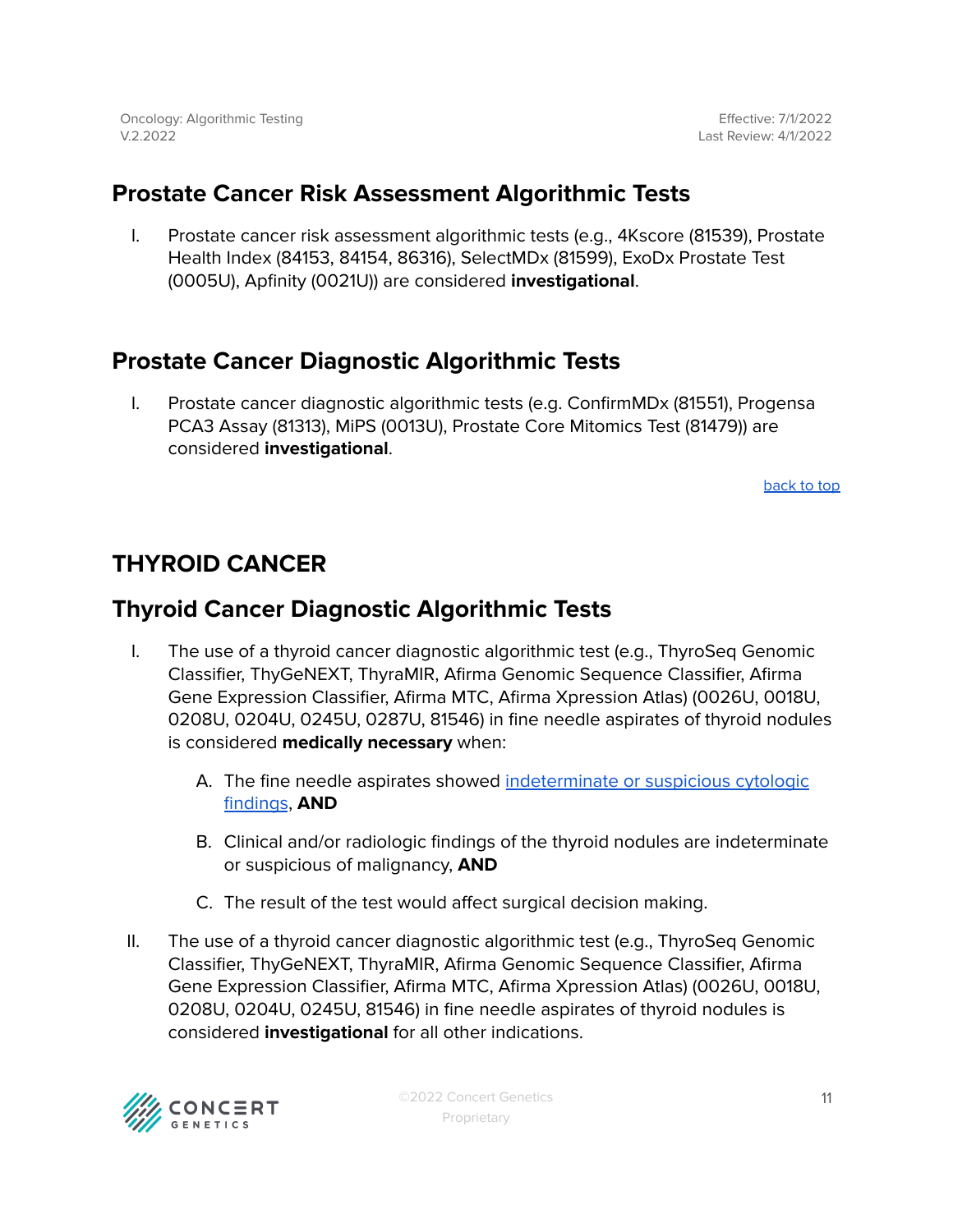Effective: 7/1/2022 Last Review: 4/1/2022

### <span id="page-10-0"></span>**Prostate Cancer Risk Assessment Algorithmic Tests**

I. Prostate cancer risk assessment algorithmic tests (e.g., 4Kscore (81539), Prostate Health Index (84153, 84154, 86316), SelectMDx (81599), ExoDx Prostate Test (0005U), Apfinity (0021U)) are considered **investigational**.

### <span id="page-10-1"></span>**Prostate Cancer Diagnostic Algorithmic Tests**

I. Prostate cancer diagnostic algorithmic tests (e.g. ConfirmMDx (81551), Progensa PCA3 Assay (81313), MiPS (0013U), Prostate Core Mitomics Test (81479)) are considered **investigational**.

[back](#page-0-0) to top

### <span id="page-10-2"></span>**THYROID CANCER**

### <span id="page-10-3"></span>**Thyroid Cancer Diagnostic Algorithmic Tests**

- I. The use of a thyroid cancer diagnostic algorithmic test (e.g., ThyroSeq Genomic Classifier, ThyGeNEXT, ThyraMIR, Afirma Genomic Sequence Classifier, Afirma Gene Expression Classifier, Afirma MTC, Afirma Xpression Atlas) (0026U, 0018U, 0208U, 0204U, 0245U, 0287U, 81546) in fine needle aspirates of thyroid nodules is considered **medically necessary** when:
	- A. The fine needle aspirates showed [indeterminate](#page-16-0) or suspicious cytologic [findings](#page-16-0), **AND**
	- B. Clinical and/or radiologic findings of the thyroid nodules are indeterminate or suspicious of malignancy, **AND**
	- C. The result of the test would affect surgical decision making.
- II. The use of a thyroid cancer diagnostic algorithmic test (e.g., ThyroSeq Genomic Classifier, ThyGeNEXT, ThyraMIR, Afirma Genomic Sequence Classifier, Afirma Gene Expression Classifier, Afirma MTC, Afirma Xpression Atlas) (0026U, 0018U, 0208U, 0204U, 0245U, 81546) in fine needle aspirates of thyroid nodules is considered **investigational** for all other indications.

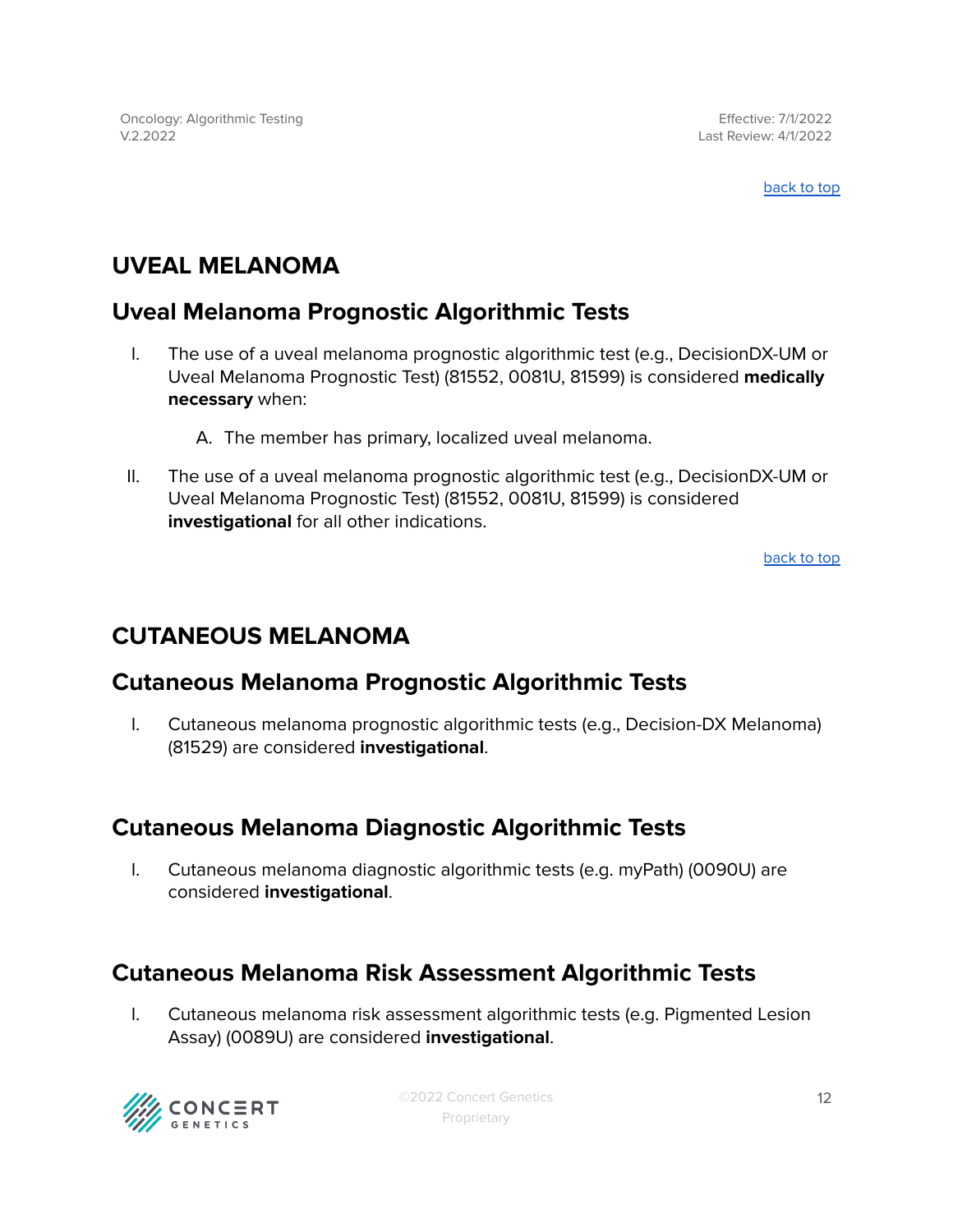Effective: 7/1/2022 Last Review: 4/1/2022

[back](#page-0-0) to top

### <span id="page-11-0"></span>**UVEAL MELANOMA**

### <span id="page-11-1"></span>**Uveal Melanoma Prognostic Algorithmic Tests**

- I. The use of a uveal melanoma prognostic algorithmic test (e.g., DecisionDX-UM or Uveal Melanoma Prognostic Test) (81552, 0081U, 81599) is considered **medically necessary** when:
	- A. The member has primary, localized uveal melanoma.
- II. The use of a uveal melanoma prognostic algorithmic test (e.g., DecisionDX-UM or Uveal Melanoma Prognostic Test) (81552, 0081U, 81599) is considered **investigational** for all other indications.

[back](#page-0-0) to top

### <span id="page-11-2"></span>**CUTANEOUS MELANOMA**

### <span id="page-11-3"></span>**Cutaneous Melanoma Prognostic Algorithmic Tests**

I. Cutaneous melanoma prognostic algorithmic tests (e.g., Decision-DX Melanoma) (81529) are considered **investigational**.

### <span id="page-11-4"></span>**Cutaneous Melanoma Diagnostic Algorithmic Tests**

I. Cutaneous melanoma diagnostic algorithmic tests (e.g. myPath) (0090U) are considered **investigational**.

### <span id="page-11-5"></span>**Cutaneous Melanoma Risk Assessment Algorithmic Tests**

I. Cutaneous melanoma risk assessment algorithmic tests (e.g. Pigmented Lesion Assay) (0089U) are considered **investigational**.



©2022 Concert Genetics Proprietary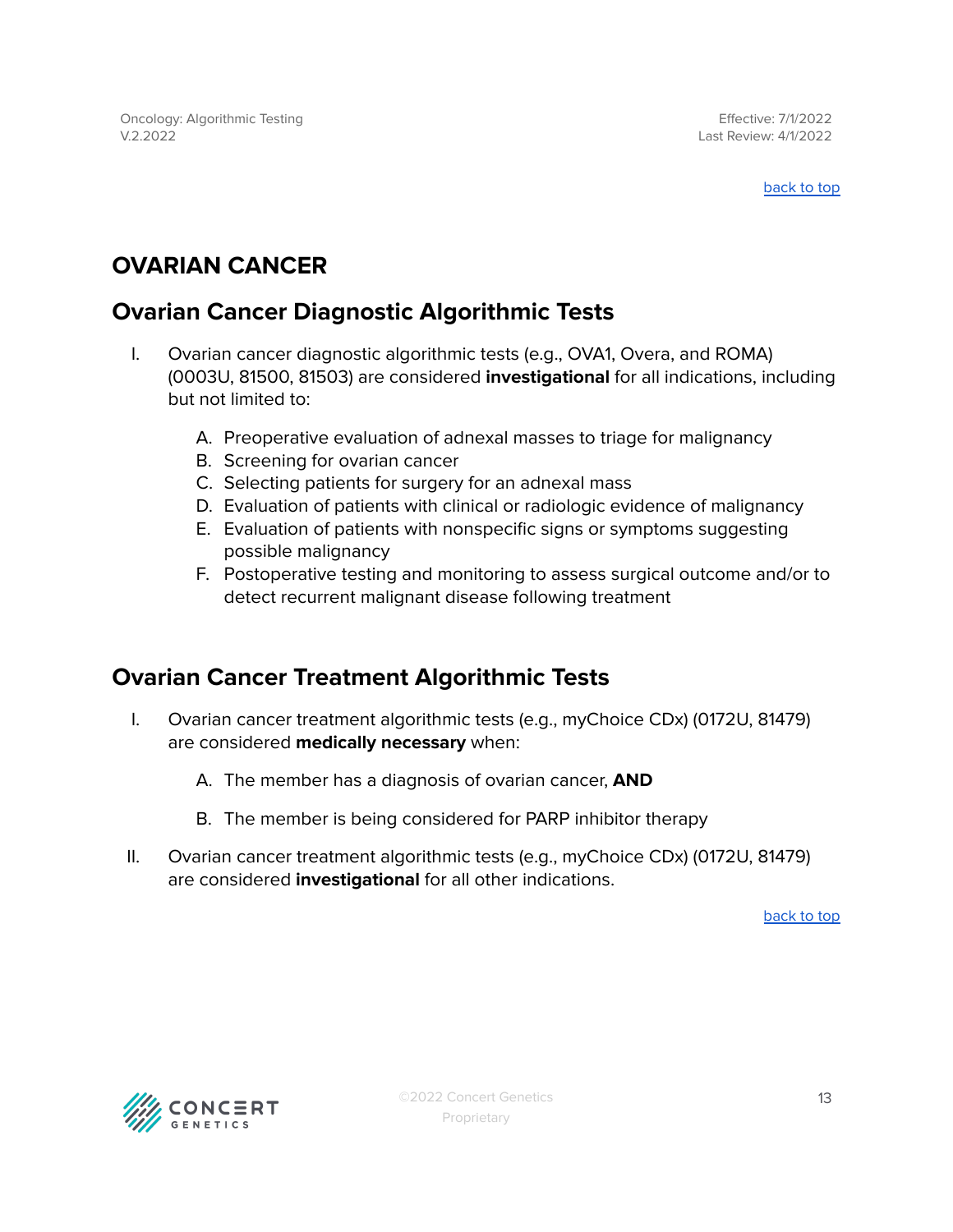#### [back](#page-0-0) to top

### <span id="page-12-0"></span>**OVARIAN CANCER**

### <span id="page-12-1"></span>**Ovarian Cancer Diagnostic Algorithmic Tests**

- I. Ovarian cancer diagnostic algorithmic tests (e.g., OVA1, Overa, and ROMA) (0003U, 81500, 81503) are considered **investigational** for all indications, including but not limited to:
	- A. Preoperative evaluation of adnexal masses to triage for malignancy
	- B. Screening for ovarian cancer
	- C. Selecting patients for surgery for an adnexal mass
	- D. Evaluation of patients with clinical or radiologic evidence of malignancy
	- E. Evaluation of patients with nonspecific signs or symptoms suggesting possible malignancy
	- F. Postoperative testing and monitoring to assess surgical outcome and/or to detect recurrent malignant disease following treatment

### <span id="page-12-2"></span>**Ovarian Cancer Treatment Algorithmic Tests**

- I. Ovarian cancer treatment algorithmic tests (e.g., myChoice CDx) (0172U, 81479) are considered **medically necessary** when:
	- A. The member has a diagnosis of ovarian cancer, **AND**
	- B. The member is being considered for PARP inhibitor therapy
- II. Ovarian cancer treatment algorithmic tests (e.g., myChoice CDx) (0172U, 81479) are considered **investigational** for all other indications.

[back](#page-0-0) to top

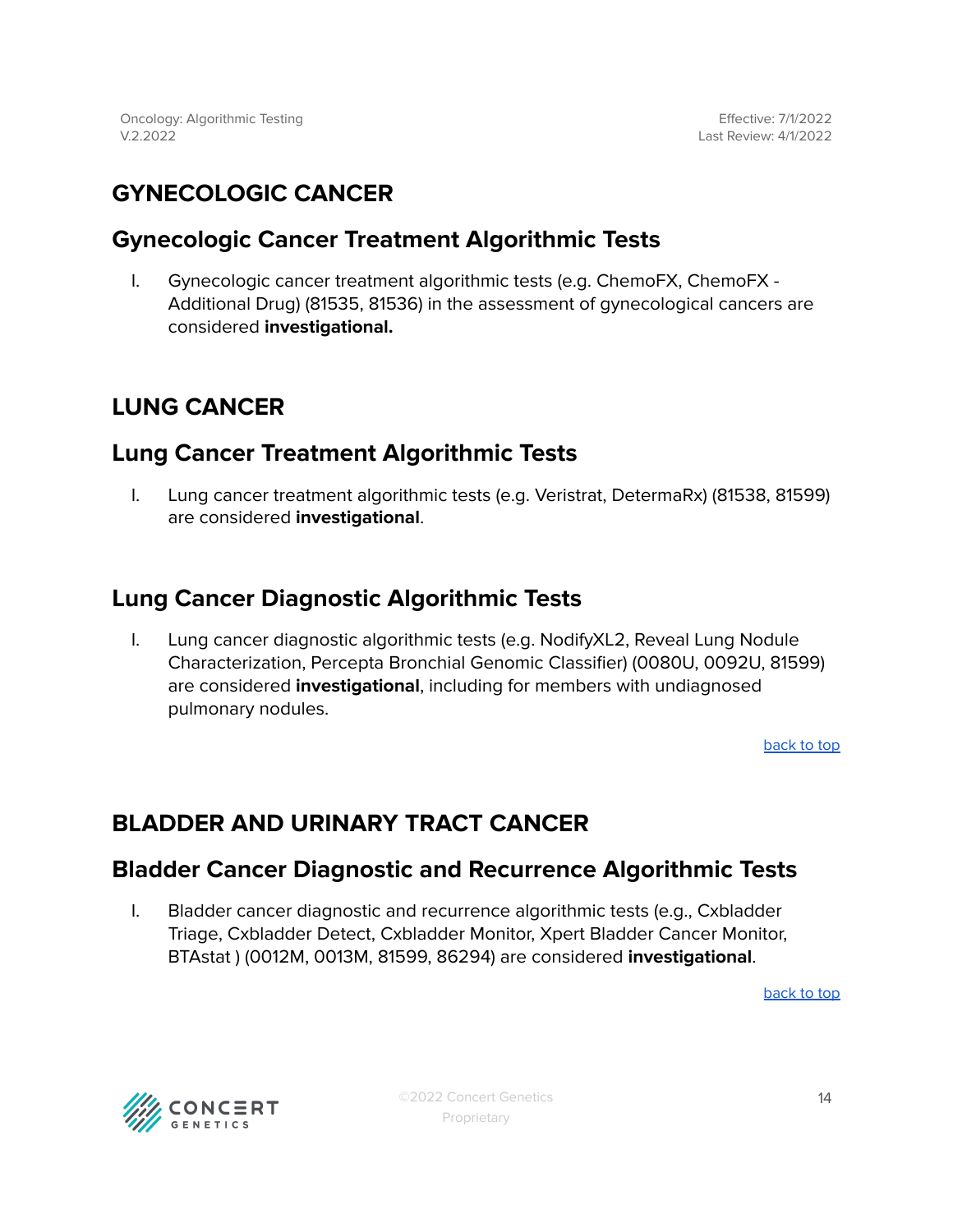### <span id="page-13-0"></span>**GYNECOLOGIC CANCER**

### <span id="page-13-1"></span>**Gynecologic Cancer Treatment Algorithmic Tests**

I. Gynecologic cancer treatment algorithmic tests (e.g. ChemoFX, ChemoFX - Additional Drug) (81535, 81536) in the assessment of gynecological cancers are considered **investigational.**

### **LUNG CANCER**

### <span id="page-13-2"></span>**Lung Cancer Treatment Algorithmic Tests**

I. Lung cancer treatment algorithmic tests (e.g. Veristrat, DetermaRx) (81538, 81599) are considered **investigational**.

### <span id="page-13-3"></span>**Lung Cancer Diagnostic Algorithmic Tests**

I. Lung cancer diagnostic algorithmic tests (e.g. NodifyXL2, Reveal Lung Nodule Characterization, Percepta Bronchial Genomic Classifier) (0080U, 0092U, 81599) are considered **investigational**, including for members with undiagnosed pulmonary nodules.

[back](#page-0-0) to top

### <span id="page-13-4"></span>**BLADDER AND URINARY TRACT CANCER**

#### **Bladder Cancer Diagnostic and Recurrence Algorithmic Tests**

I. Bladder cancer diagnostic and recurrence algorithmic tests (e.g., Cxbladder Triage, Cxbladder Detect, Cxbladder Monitor, Xpert Bladder Cancer Monitor, BTAstat ) (0012M, 0013M, 81599, 86294) are considered **investigational**.

[back](#page-0-0) to top

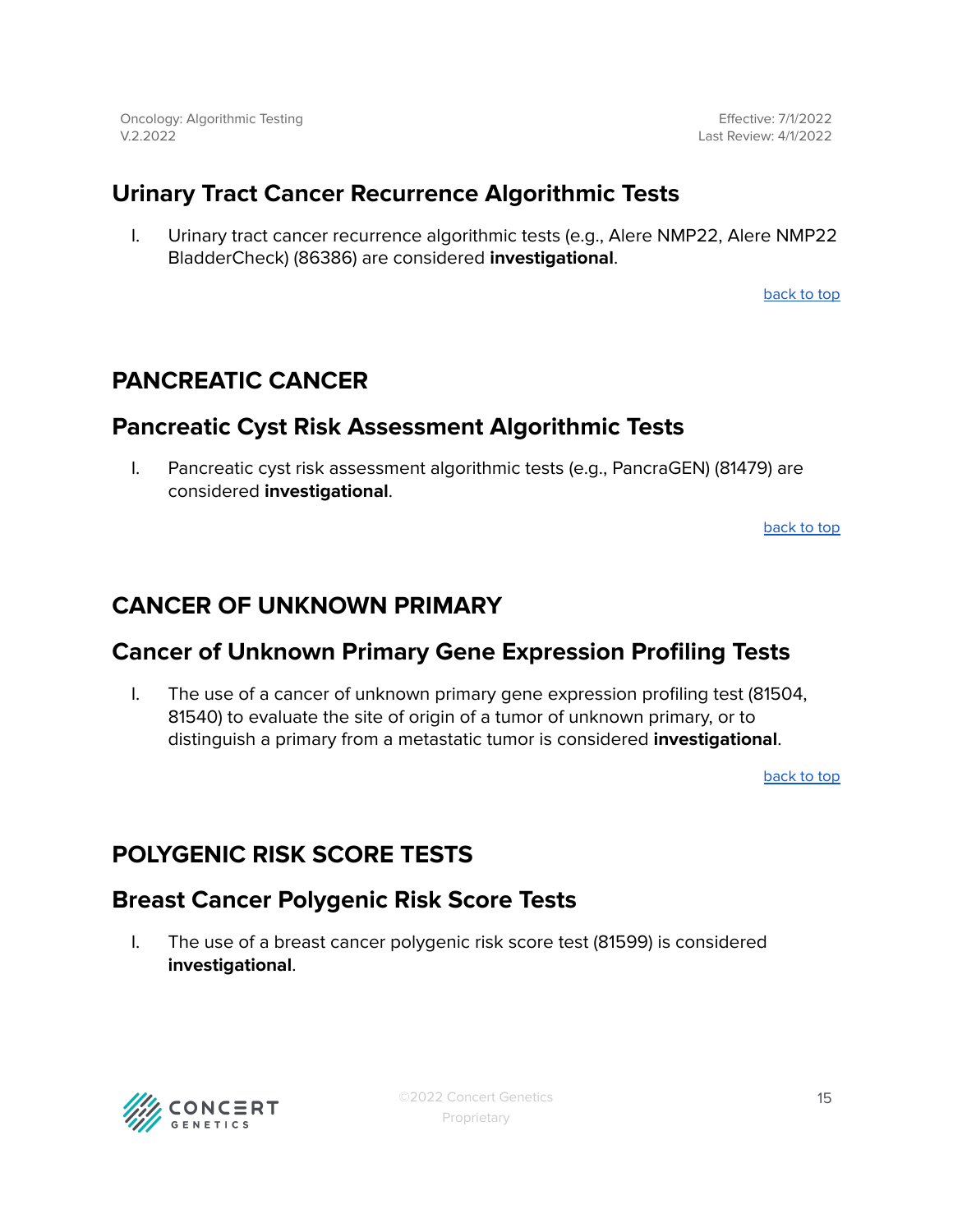Effective: 7/1/2022 Last Review: 4/1/2022

### <span id="page-14-0"></span>**Urinary Tract Cancer Recurrence Algorithmic Tests**

I. Urinary tract cancer recurrence algorithmic tests (e.g., Alere NMP22, Alere NMP22 BladderCheck) (86386) are considered **investigational**.

[back](#page-0-0) to top

### <span id="page-14-1"></span>**PANCREATIC CANCER**

#### <span id="page-14-2"></span>**Pancreatic Cyst Risk Assessment Algorithmic Tests**

I. Pancreatic cyst risk assessment algorithmic tests (e.g., PancraGEN) (81479) are considered **investigational**.

[back](#page-0-0) to top

### <span id="page-14-3"></span>**CANCER OF UNKNOWN PRIMARY**

#### <span id="page-14-4"></span>**Cancer of Unknown Primary Gene Expression Profiling Tests**

I. The use of a cancer of unknown primary gene expression profiling test (81504, 81540) to evaluate the site of origin of a tumor of unknown primary, or to distinguish a primary from a metastatic tumor is considered **investigational**.

[back](#page-0-0) to top

### <span id="page-14-5"></span>**POLYGENIC RISK SCORE TESTS**

#### <span id="page-14-6"></span>**Breast Cancer Polygenic Risk Score Tests**

I. The use of a breast cancer polygenic risk score test (81599) is considered **investigational**.

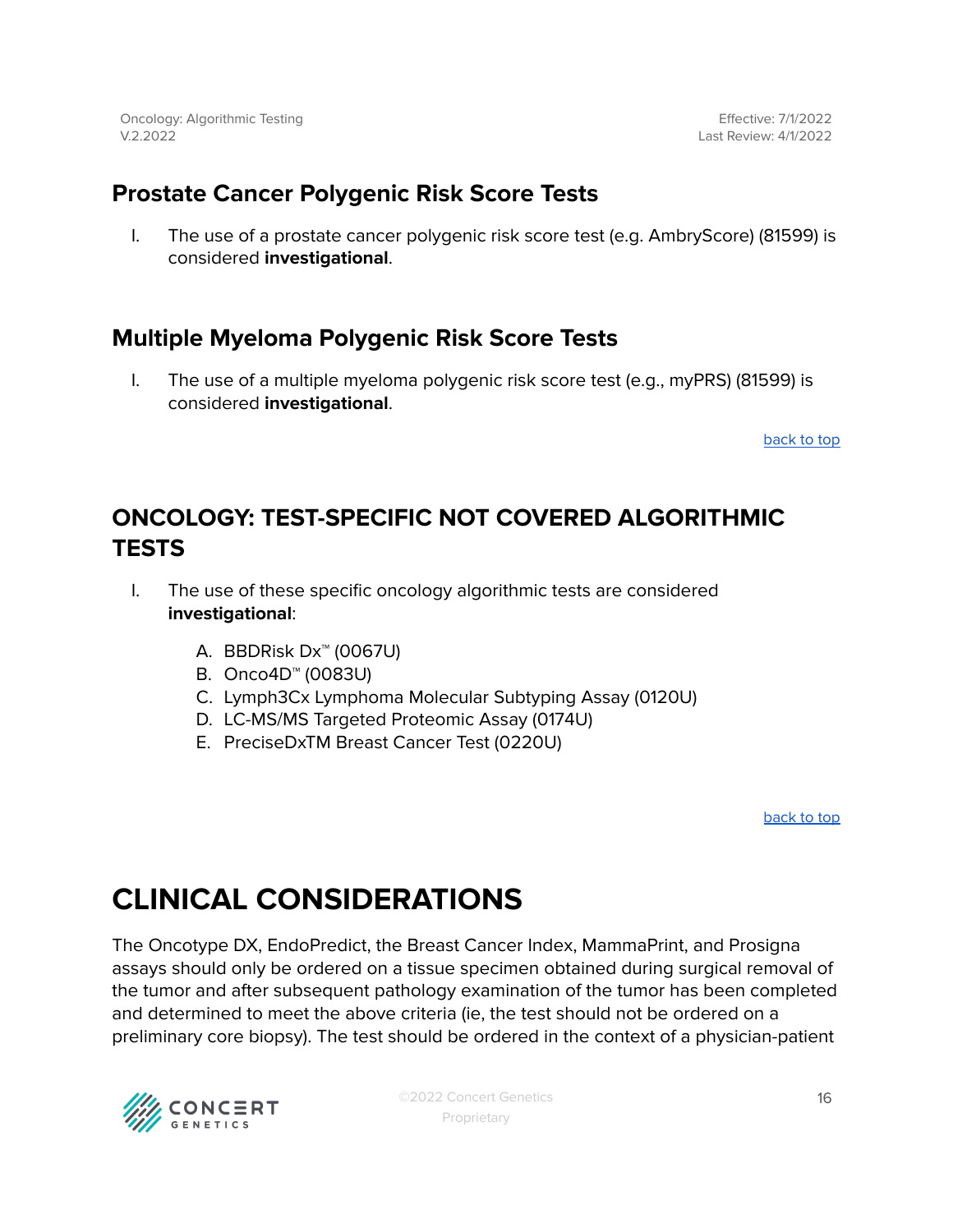Effective: 7/1/2022 Last Review: 4/1/2022

### <span id="page-15-0"></span>**Prostate Cancer Polygenic Risk Score Tests**

I. The use of a prostate cancer polygenic risk score test (e.g. AmbryScore) (81599) is considered **investigational**.

### <span id="page-15-1"></span>**Multiple Myeloma Polygenic Risk Score Tests**

I. The use of a multiple myeloma polygenic risk score test (e.g., myPRS) (81599) is considered **investigational**.

[back](#page-0-0) to top

### <span id="page-15-2"></span>**ONCOLOGY: TEST-SPECIFIC NOT COVERED ALGORITHMIC TESTS**

- I. The use of these specific oncology algorithmic tests are considered **investigational**:
	- A. BBDRisk Dx™ (0067U)
	- B. Onco4D™ (0083U)
	- C. Lymph3Cx Lymphoma Molecular Subtyping Assay (0120U)
	- D. LC-MS/MS Targeted Proteomic Assay (0174U)
	- E. PreciseDxTM Breast Cancer Test (0220U)

[back](#page-0-0) to top

## **CLINICAL CONSIDERATIONS**

The Oncotype DX, EndoPredict, the Breast Cancer Index, MammaPrint, and Prosigna assays should only be ordered on a tissue specimen obtained during surgical removal of the tumor and after subsequent pathology examination of the tumor has been completed and determined to meet the above criteria (ie, the test should not be ordered on a preliminary core biopsy). The test should be ordered in the context of a physician-patient

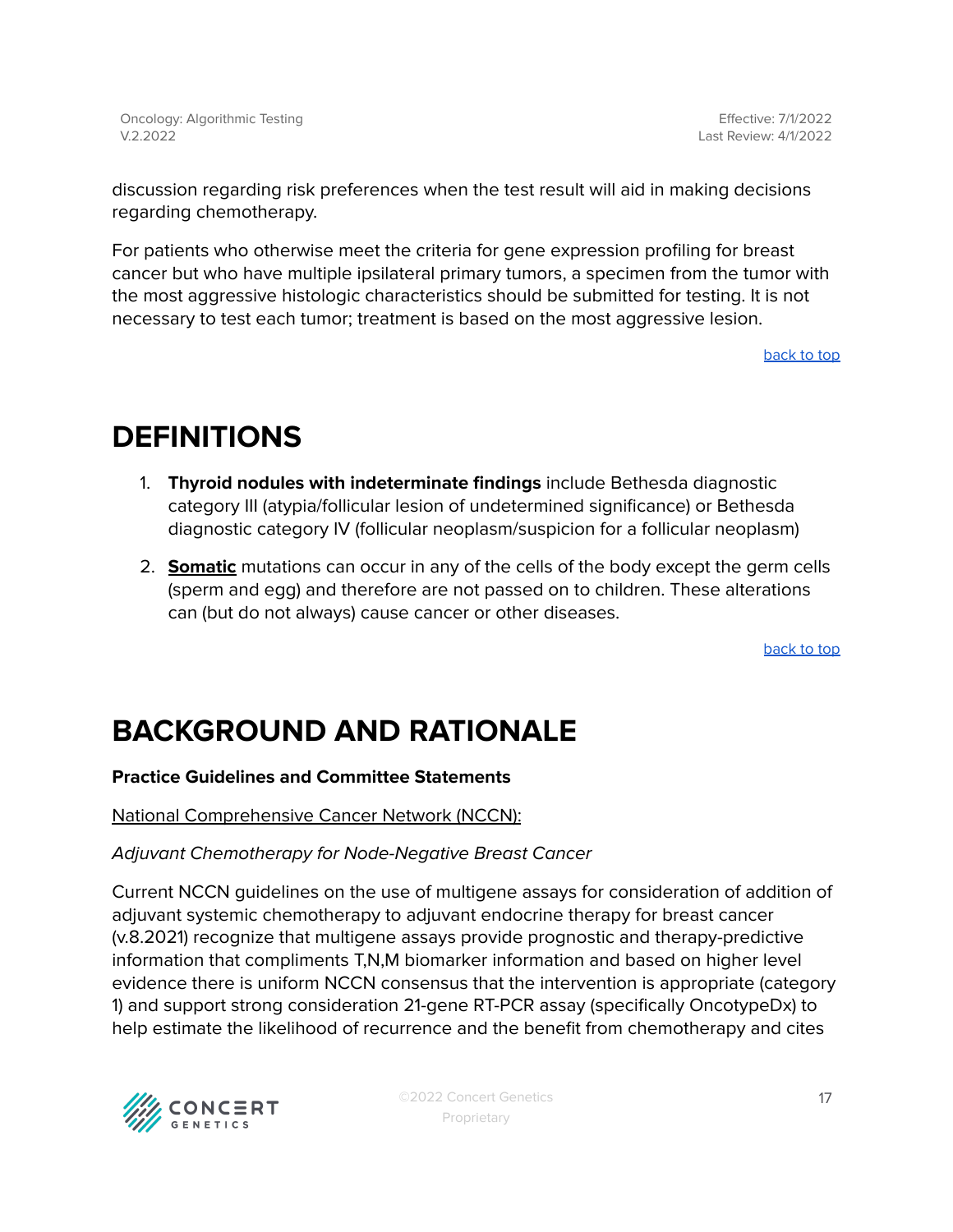Effective: 7/1/2022 Last Review: 4/1/2022

discussion regarding risk preferences when the test result will aid in making decisions regarding chemotherapy.

For patients who otherwise meet the criteria for gene expression profiling for breast cancer but who have multiple ipsilateral primary tumors, a specimen from the tumor with the most aggressive histologic characteristics should be submitted for testing. It is not necessary to test each tumor; treatment is based on the most aggressive lesion.

[back](#page-0-0) to top

## <span id="page-16-0"></span>**DEFINITIONS**

- 1. **Thyroid nodules with indeterminate findings** include Bethesda diagnostic category III (atypia/follicular lesion of undetermined significance) or Bethesda diagnostic category IV (follicular neoplasm/suspicion for a follicular neoplasm)
- 2. **Somatic** mutations can occur in any of the cells of the body except the germ cells (sperm and egg) and therefore are not passed on to children. These alterations can (but do not always) cause cancer or other diseases.

[back](#page-0-0) to top

## **BACKGROUND AND RATIONALE**

#### **Practice Guidelines and Committee Statements**

National Comprehensive Cancer Network (NCCN):

#### Adjuvant Chemotherapy for Node-Negative Breast Cancer

Current NCCN guidelines on the use of multigene assays for consideration of addition of adjuvant systemic chemotherapy to adjuvant endocrine therapy for breast cancer (v.8.2021) recognize that multigene assays provide prognostic and therapy-predictive information that compliments T,N,M biomarker information and based on higher level evidence there is uniform NCCN consensus that the intervention is appropriate (category 1) and support strong consideration 21-gene RT-PCR assay (specifically OncotypeDx) to help estimate the likelihood of recurrence and the benefit from chemotherapy and cites

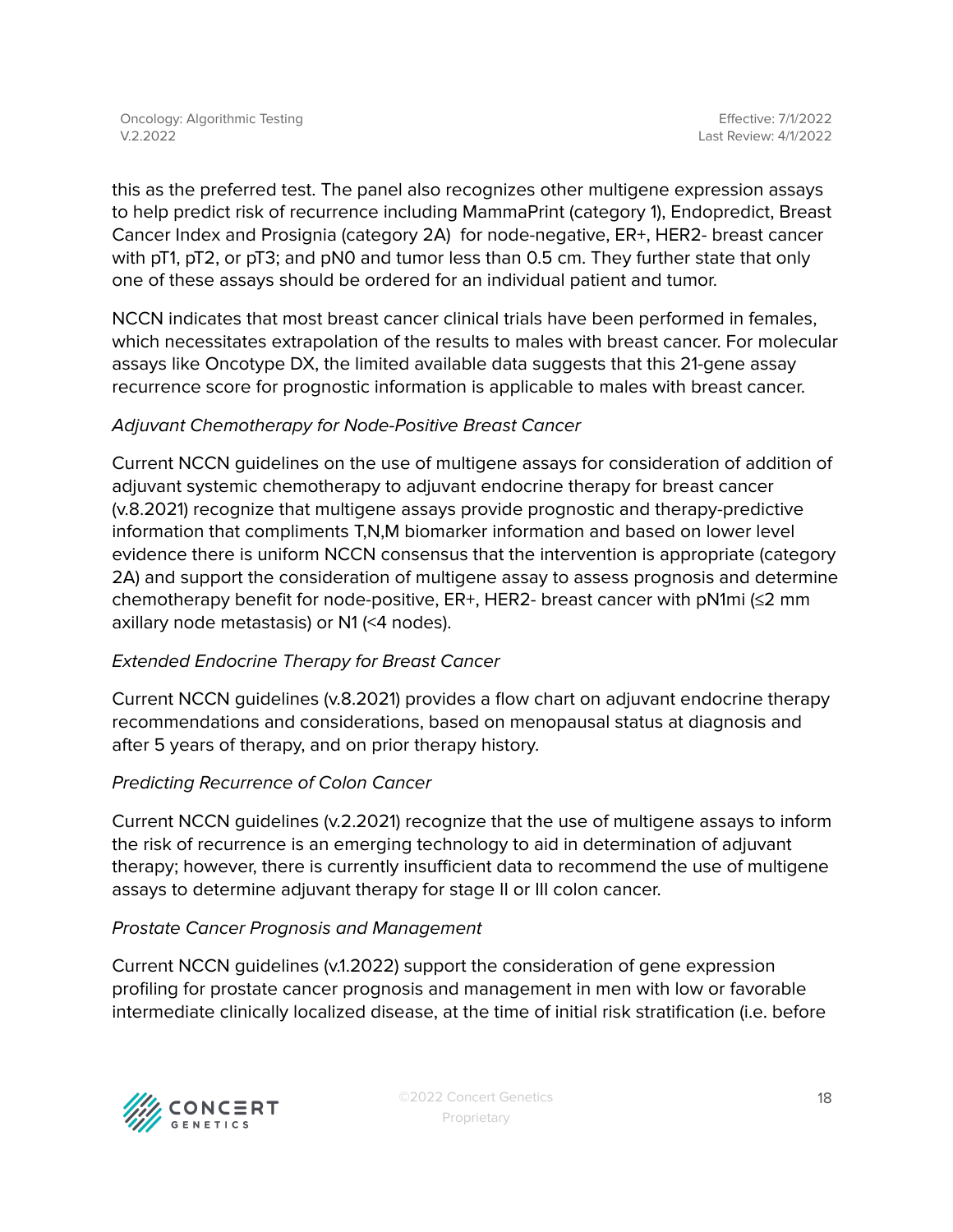this as the preferred test. The panel also recognizes other multigene expression assays to help predict risk of recurrence including MammaPrint (category 1), Endopredict, Breast Cancer Index and Prosignia (category 2A) for node-negative, ER+, HER2- breast cancer with pT1, pT2, or pT3; and pN0 and tumor less than 0.5 cm. They further state that only one of these assays should be ordered for an individual patient and tumor.

NCCN indicates that most breast cancer clinical trials have been performed in females, which necessitates extrapolation of the results to males with breast cancer. For molecular assays like Oncotype DX, the limited available data suggests that this 21-gene assay recurrence score for prognostic information is applicable to males with breast cancer.

#### Adjuvant Chemotherapy for Node-Positive Breast Cancer

Current NCCN guidelines on the use of multigene assays for consideration of addition of adjuvant systemic chemotherapy to adjuvant endocrine therapy for breast cancer (v.8.2021) recognize that multigene assays provide prognostic and therapy-predictive information that compliments T,N,M biomarker information and based on lower level evidence there is uniform NCCN consensus that the intervention is appropriate (category 2A) and support the consideration of multigene assay to assess prognosis and determine chemotherapy benefit for node-positive,  $ER+$ , HER2- breast cancer with pN1mi ( $\leq$ 2 mm axillary node metastasis) or N1 (<4 nodes).

#### Extended Endocrine Therapy for Breast Cancer

Current NCCN guidelines (v.8.2021) provides a flow chart on adjuvant endocrine therapy recommendations and considerations, based on menopausal status at diagnosis and after 5 years of therapy, and on prior therapy history.

#### Predicting Recurrence of Colon Cancer

Current NCCN guidelines (v.2.2021) recognize that the use of multigene assays to inform the risk of recurrence is an emerging technology to aid in determination of adjuvant therapy; however, there is currently insufficient data to recommend the use of multigene assays to determine adjuvant therapy for stage II or III colon cancer.

#### Prostate Cancer Prognosis and Management

Current NCCN guidelines (v.1.2022) support the consideration of gene expression profiling for prostate cancer prognosis and management in men with low or favorable intermediate clinically localized disease, at the time of initial risk stratification (i.e. before

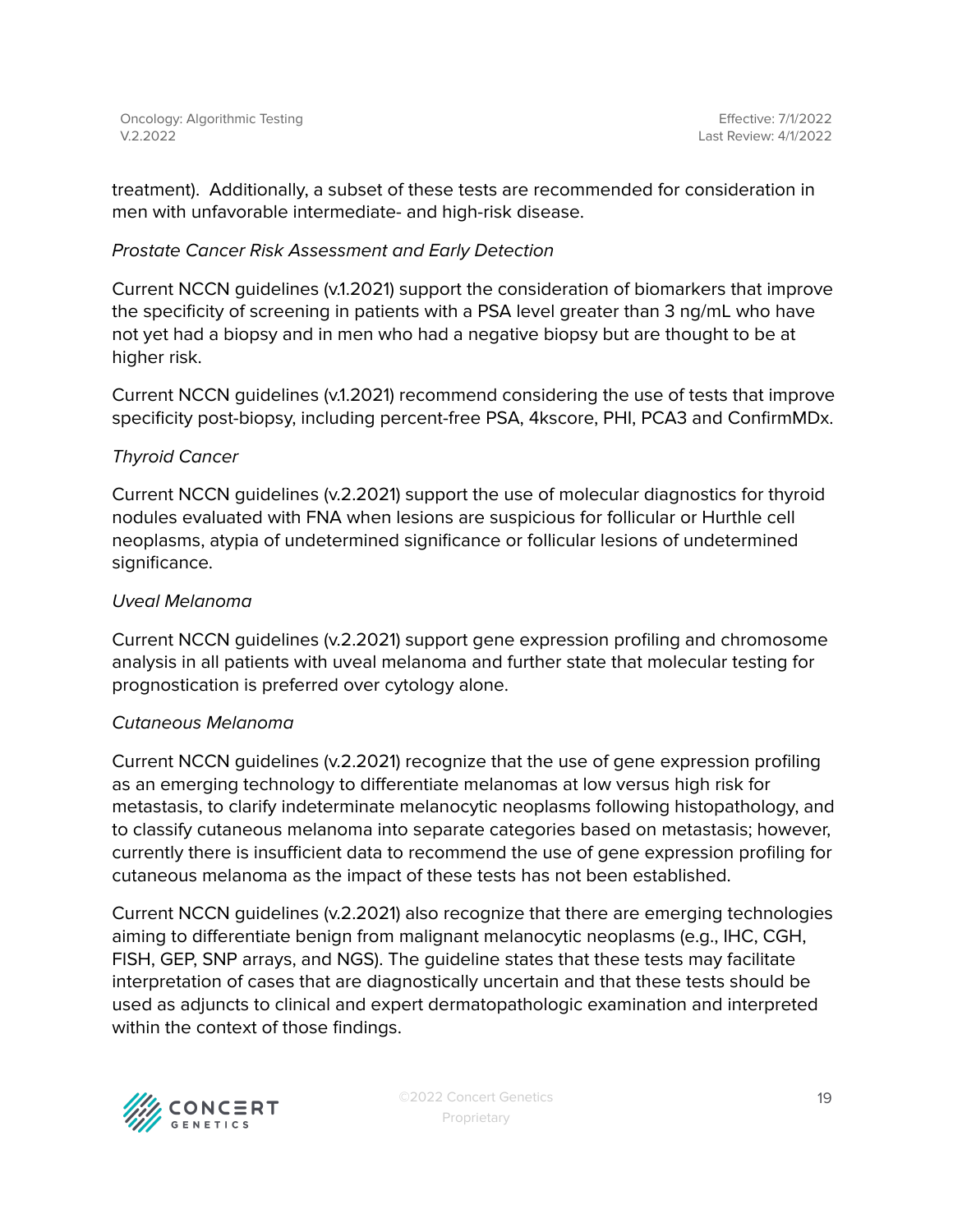treatment). Additionally, a subset of these tests are recommended for consideration in men with unfavorable intermediate- and high-risk disease.

#### Prostate Cancer Risk Assessment and Early Detection

Current NCCN guidelines (v.1.2021) support the consideration of biomarkers that improve the specificity of screening in patients with a PSA level greater than 3 ng/mL who have not yet had a biopsy and in men who had a negative biopsy but are thought to be at higher risk.

Current NCCN guidelines (v.1.2021) recommend considering the use of tests that improve specificity post-biopsy, including percent-free PSA, 4kscore, PHI, PCA3 and ConfirmMDx.

#### Thyroid Cancer

Current NCCN guidelines (v.2.2021) support the use of molecular diagnostics for thyroid nodules evaluated with FNA when lesions are suspicious for follicular or Hurthle cell neoplasms, atypia of undetermined significance or follicular lesions of undetermined significance.

#### Uveal Melanoma

Current NCCN guidelines (v.2.2021) support gene expression profiling and chromosome analysis in all patients with uveal melanoma and further state that molecular testing for prognostication is preferred over cytology alone.

#### Cutaneous Melanoma

Current NCCN guidelines (v.2.2021) recognize that the use of gene expression profiling as an emerging technology to differentiate melanomas at low versus high risk for metastasis, to clarify indeterminate melanocytic neoplasms following histopathology, and to classify cutaneous melanoma into separate categories based on metastasis; however, currently there is insufficient data to recommend the use of gene expression profiling for cutaneous melanoma as the impact of these tests has not been established.

Current NCCN guidelines (v.2.2021) also recognize that there are emerging technologies aiming to differentiate benign from malignant melanocytic neoplasms (e.g., IHC, CGH, FISH, GEP, SNP arrays, and NGS). The guideline states that these tests may facilitate interpretation of cases that are diagnostically uncertain and that these tests should be used as adjuncts to clinical and expert dermatopathologic examination and interpreted within the context of those findings.

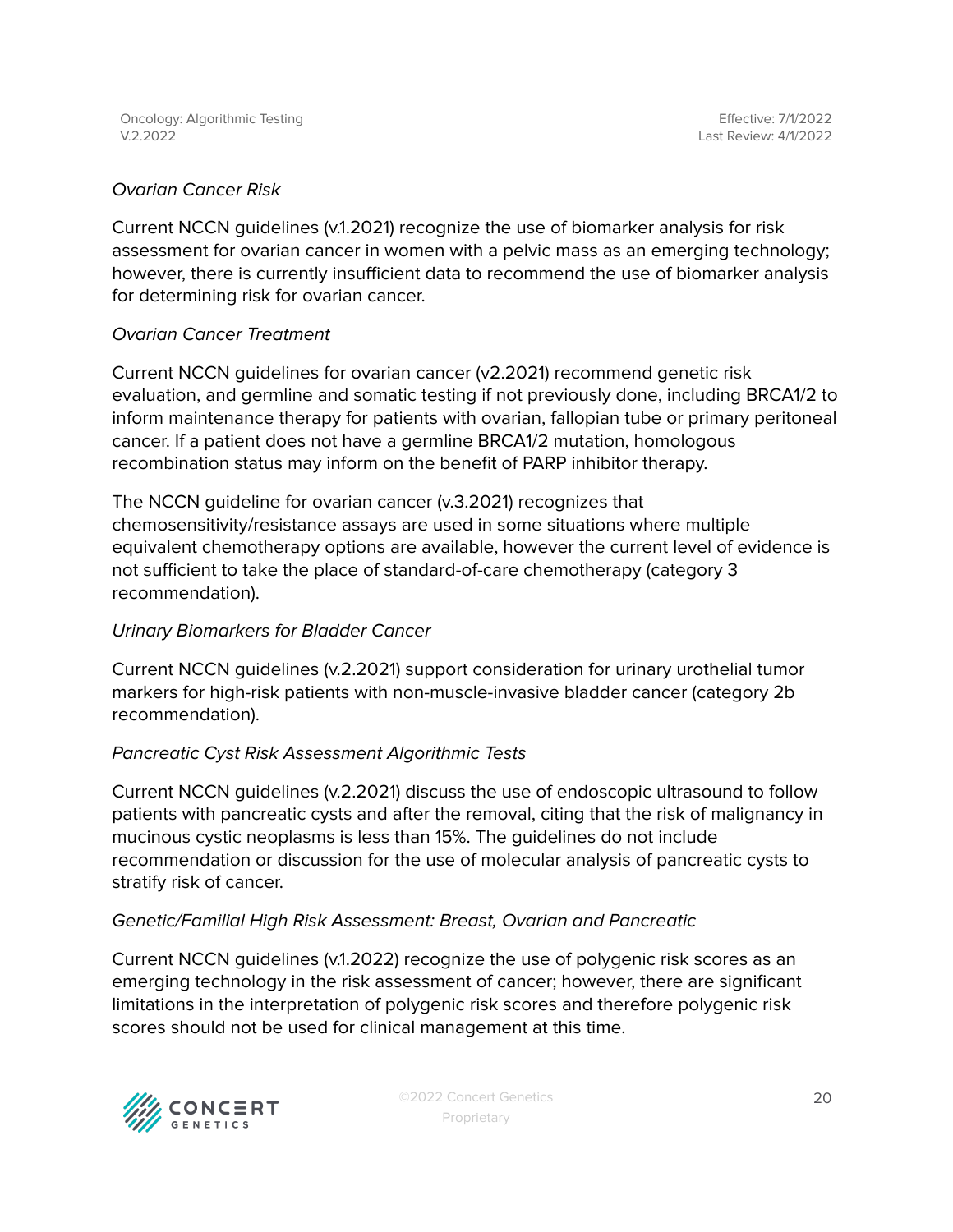#### Ovarian Cancer Risk

Current NCCN guidelines (v.1.2021) recognize the use of biomarker analysis for risk assessment for ovarian cancer in women with a pelvic mass as an emerging technology; however, there is currently insufficient data to recommend the use of biomarker analysis for determining risk for ovarian cancer.

#### Ovarian Cancer Treatment

Current NCCN guidelines for ovarian cancer (v2.2021) recommend genetic risk evaluation, and germline and somatic testing if not previously done, including BRCA1/2 to inform maintenance therapy for patients with ovarian, fallopian tube or primary peritoneal cancer. If a patient does not have a germline BRCA1/2 mutation, homologous recombination status may inform on the benefit of PARP inhibitor therapy.

The NCCN guideline for ovarian cancer (v.3.2021) recognizes that chemosensitivity/resistance assays are used in some situations where multiple equivalent chemotherapy options are available, however the current level of evidence is not sufficient to take the place of standard-of-care chemotherapy (category 3 recommendation).

#### Urinary Biomarkers for Bladder Cancer

Current NCCN guidelines (v.2.2021) support consideration for urinary urothelial tumor markers for high-risk patients with non-muscle-invasive bladder cancer (category 2b recommendation).

#### Pancreatic Cyst Risk Assessment Algorithmic Tests

Current NCCN guidelines (v.2.2021) discuss the use of endoscopic ultrasound to follow patients with pancreatic cysts and after the removal, citing that the risk of malignancy in mucinous cystic neoplasms is less than 15%. The guidelines do not include recommendation or discussion for the use of molecular analysis of pancreatic cysts to stratify risk of cancer.

#### Genetic/Familial High Risk Assessment: Breast, Ovarian and Pancreatic

Current NCCN guidelines (v.1.2022) recognize the use of polygenic risk scores as an emerging technology in the risk assessment of cancer; however, there are significant limitations in the interpretation of polygenic risk scores and therefore polygenic risk scores should not be used for clinical management at this time.

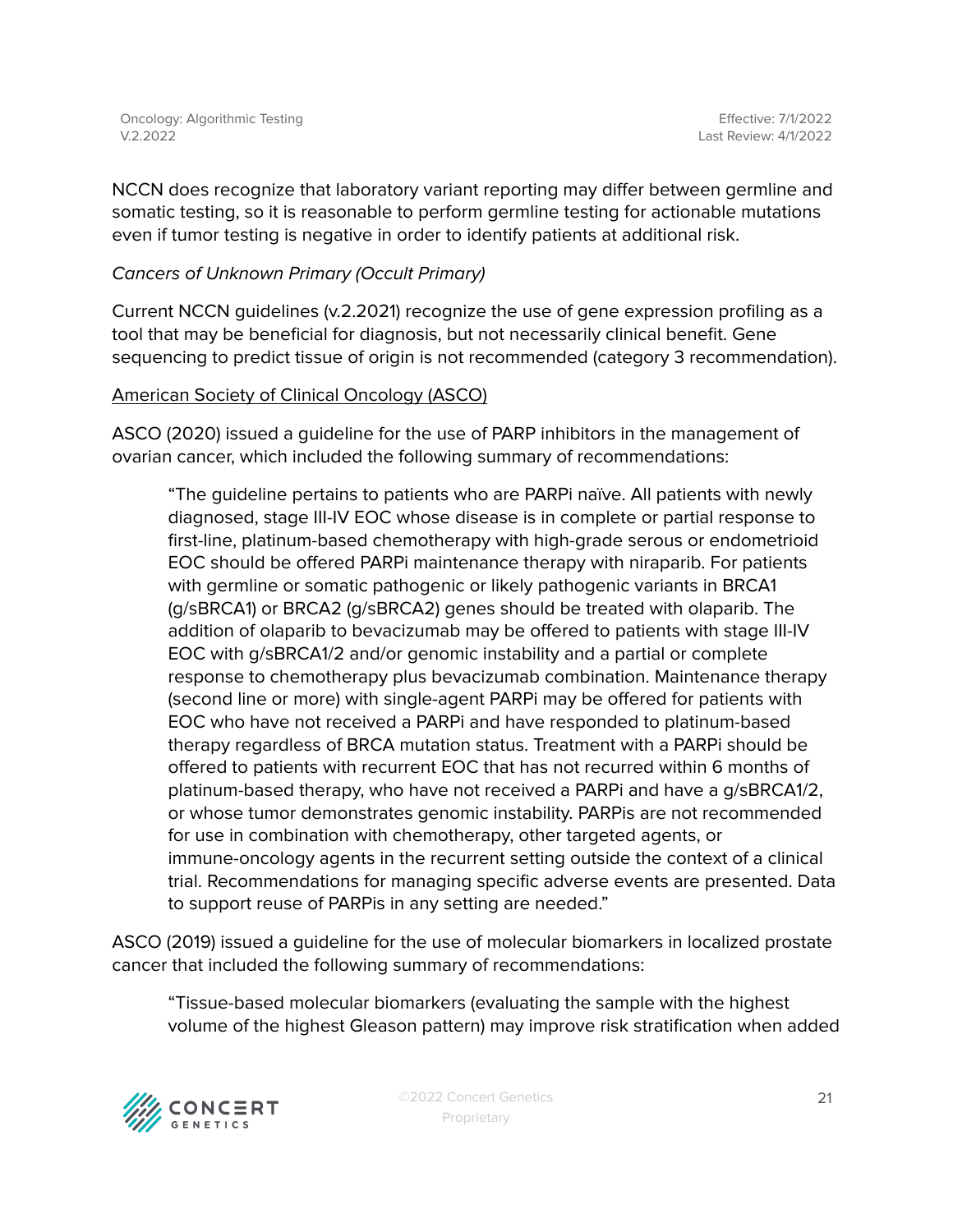NCCN does recognize that laboratory variant reporting may differ between germline and somatic testing, so it is reasonable to perform germline testing for actionable mutations even if tumor testing is negative in order to identify patients at additional risk.

#### Cancers of Unknown Primary (Occult Primary)

Current NCCN guidelines (v.2.2021) recognize the use of gene expression profiling as a tool that may be beneficial for diagnosis, but not necessarily clinical benefit. Gene sequencing to predict tissue of origin is not recommended (category 3 recommendation).

#### American Society of Clinical Oncology (ASCO)

ASCO (2020) issued a guideline for the use of PARP inhibitors in the management of ovarian cancer, which included the following summary of recommendations:

"The guideline pertains to patients who are PARPi naïve. All patients with newly diagnosed, stage III-IV EOC whose disease is in complete or partial response to first-line, platinum-based chemotherapy with high-grade serous or endometrioid EOC should be offered PARPi maintenance therapy with niraparib. For patients with germline or somatic pathogenic or likely pathogenic variants in BRCA1 (g/sBRCA1) or BRCA2 (g/sBRCA2) genes should be treated with olaparib. The addition of olaparib to bevacizumab may be offered to patients with stage III-IV EOC with g/sBRCA1/2 and/or genomic instability and a partial or complete response to chemotherapy plus bevacizumab combination. Maintenance therapy (second line or more) with single-agent PARPi may be offered for patients with EOC who have not received a PARPi and have responded to platinum-based therapy regardless of BRCA mutation status. Treatment with a PARPi should be offered to patients with recurrent EOC that has not recurred within 6 months of platinum-based therapy, who have not received a PARPi and have a g/sBRCA1/2, or whose tumor demonstrates genomic instability. PARPis are not recommended for use in combination with chemotherapy, other targeted agents, or immune-oncology agents in the recurrent setting outside the context of a clinical trial. Recommendations for managing specific adverse events are presented. Data to support reuse of PARPis in any setting are needed."

ASCO (2019) issued a guideline for the use of molecular biomarkers in localized prostate cancer that included the following summary of recommendations:

"Tissue-based molecular biomarkers (evaluating the sample with the highest volume of the highest Gleason pattern) may improve risk stratification when added



©2022 Concert Genetics Proprietary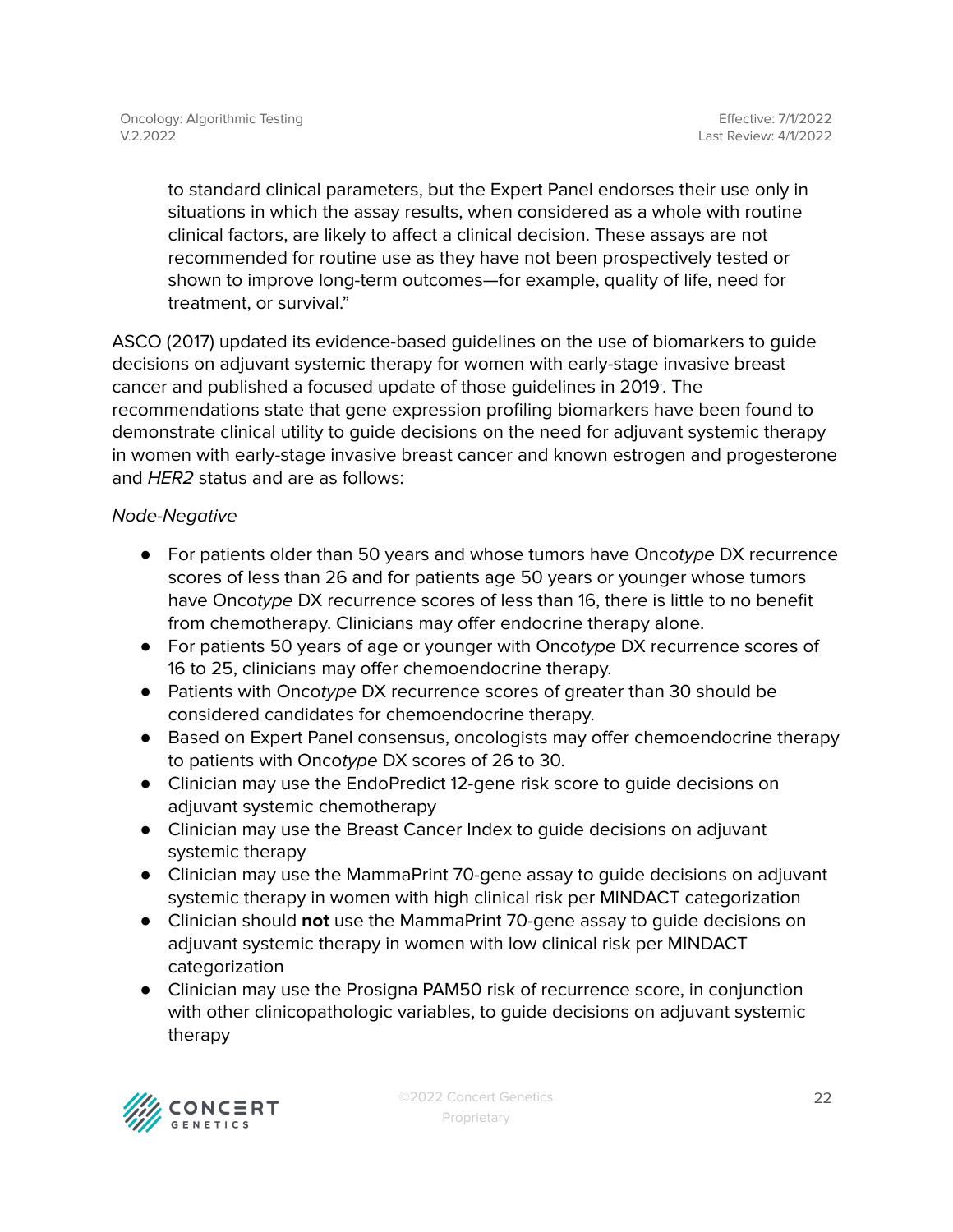to standard clinical parameters, but the Expert Panel endorses their use only in situations in which the assay results, when considered as a whole with routine clinical factors, are likely to affect a clinical decision. These assays are not recommended for routine use as they have not been prospectively tested or shown to improve long-term outcomes—for example, quality of life, need for treatment, or survival."

ASCO (2017) updated its evidence-based guidelines on the use of biomarkers to guide decisions on adjuvant systemic therapy for women with early-stage invasive breast cancer and published a focused update of those guidelines in 2019. The recommendations state that gene expression profiling biomarkers have been found to demonstrate clinical utility to guide decisions on the need for adjuvant systemic therapy in women with early-stage invasive breast cancer and known estrogen and progesterone and HER2 status and are as follows:

#### Node-Negative

- **●** For patients older than 50 years and whose tumors have Oncotype DX recurrence scores of less than 26 and for patients age 50 years or younger whose tumors have Oncotype DX recurrence scores of less than 16, there is little to no benefit from chemotherapy. Clinicians may offer endocrine therapy alone.
- **●** For patients 50 years of age or younger with Oncotype DX recurrence scores of 16 to 25, clinicians may offer chemoendocrine therapy.
- **●** Patients with Oncotype DX recurrence scores of greater than 30 should be considered candidates for chemoendocrine therapy.
- **●** Based on Expert Panel consensus, oncologists may offer chemoendocrine therapy to patients with Oncotype DX scores of 26 to 30.
- Clinician may use the EndoPredict 12-gene risk score to guide decisions on adjuvant systemic chemotherapy
- Clinician may use the Breast Cancer Index to guide decisions on adjuvant systemic therapy
- Clinician may use the MammaPrint 70-gene assay to guide decisions on adjuvant systemic therapy in women with high clinical risk per MINDACT categorization
- Clinician should **not** use the MammaPrint 70-gene assay to guide decisions on adjuvant systemic therapy in women with low clinical risk per MINDACT categorization
- Clinician may use the Prosigna PAM50 risk of recurrence score, in conjunction with other clinicopathologic variables, to guide decisions on adjuvant systemic therapy

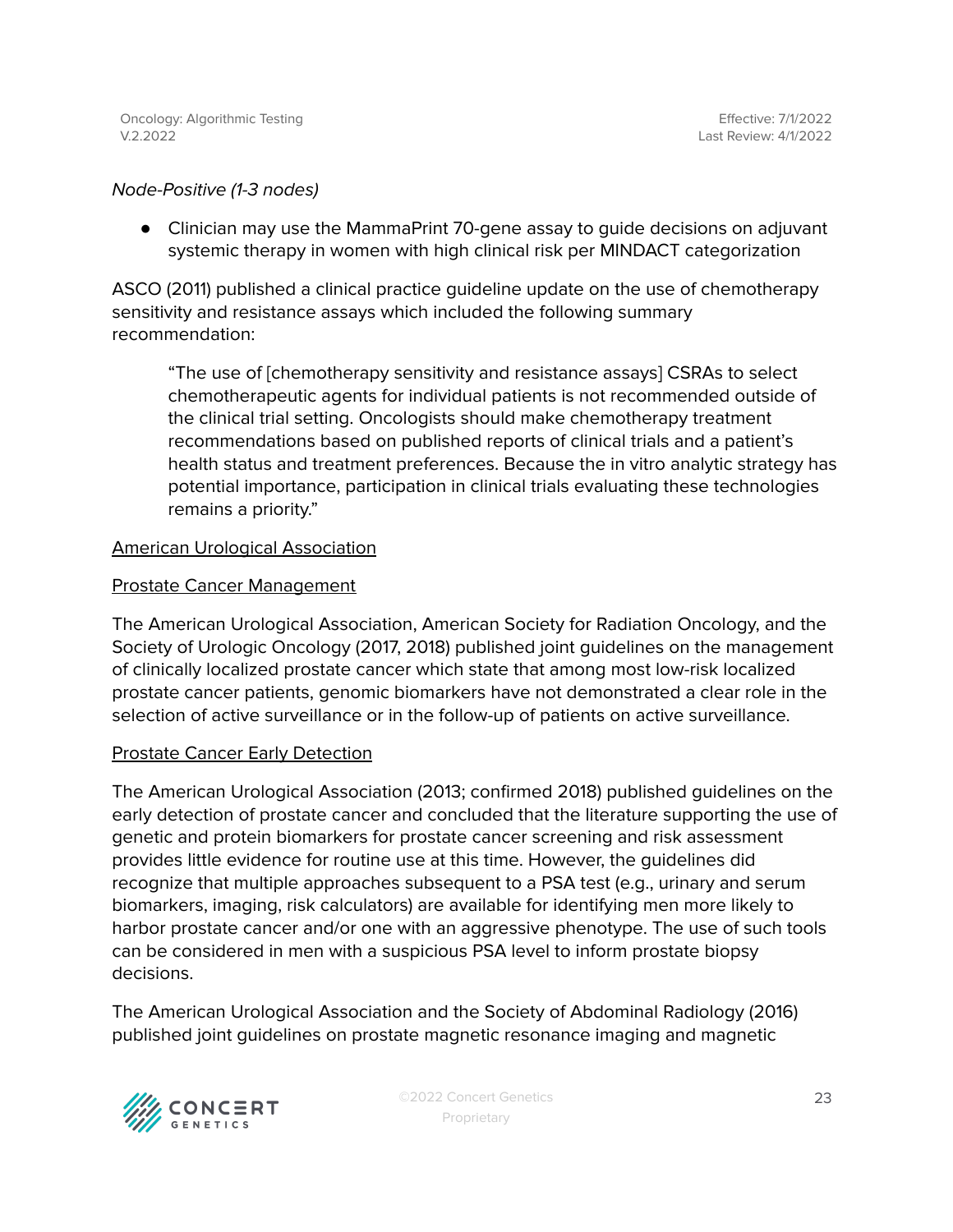#### Node-Positive (1-3 nodes)

● Clinician may use the MammaPrint 70-gene assay to guide decisions on adjuvant systemic therapy in women with high clinical risk per MINDACT categorization

ASCO (2011) published a clinical practice guideline update on the use of chemotherapy sensitivity and resistance assays which included the following summary recommendation:

"The use of [chemotherapy sensitivity and resistance assays] CSRAs to select chemotherapeutic agents for individual patients is not recommended outside of the clinical trial setting. Oncologists should make chemotherapy treatment recommendations based on published reports of clinical trials and a patient's health status and treatment preferences. Because the in vitro analytic strategy has potential importance, participation in clinical trials evaluating these technologies remains a priority."

#### American Urological Association

#### Prostate Cancer Management

The American Urological Association, American Society for Radiation Oncology, and the Society of Urologic Oncology (2017, 2018) published joint guidelines on the management of clinically localized prostate cancer which state that among most low-risk localized prostate cancer patients, genomic biomarkers have not demonstrated a clear role in the selection of active surveillance or in the follow-up of patients on active surveillance.

#### Prostate Cancer Early Detection

The American Urological Association (2013; confirmed 2018) published guidelines on the early detection of prostate cancer and concluded that the literature supporting the use of genetic and protein biomarkers for prostate cancer screening and risk assessment provides little evidence for routine use at this time. However, the guidelines did recognize that multiple approaches subsequent to a PSA test (e.g., urinary and serum biomarkers, imaging, risk calculators) are available for identifying men more likely to harbor prostate cancer and/or one with an aggressive phenotype. The use of such tools can be considered in men with a suspicious PSA level to inform prostate biopsy decisions.

The American Urological Association and the Society of Abdominal Radiology (2016) published joint guidelines on prostate magnetic resonance imaging and magnetic



©2022 Concert Genetics Proprietary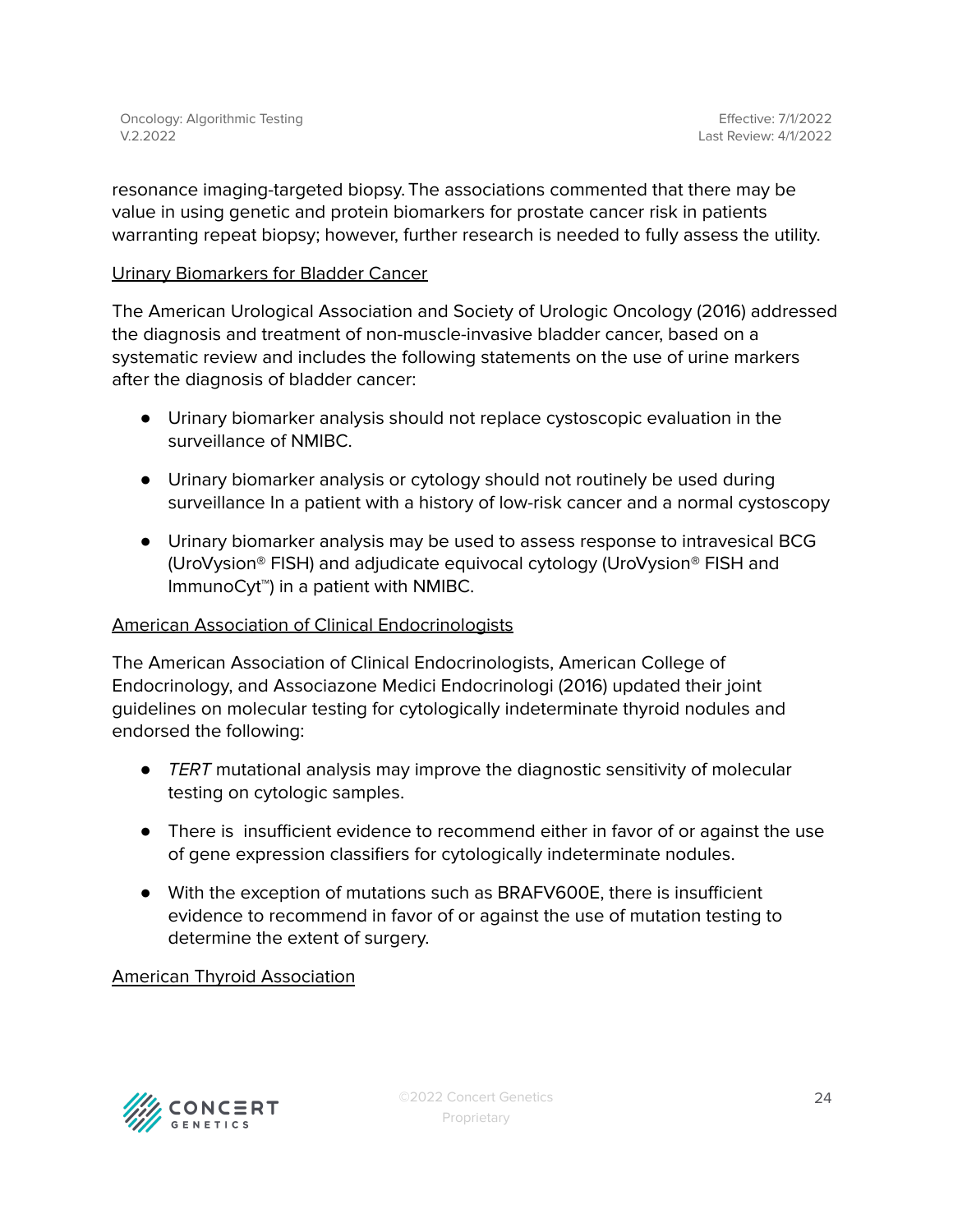resonance imaging-targeted biopsy. The associations commented that there may be value in using genetic and protein biomarkers for prostate cancer risk in patients warranting repeat biopsy; however, further research is needed to fully assess the utility.

#### Urinary Biomarkers for Bladder Cancer

The American Urological Association and Society of Urologic Oncology (2016) addressed the diagnosis and treatment of non-muscle-invasive bladder cancer, based on a systematic review and includes the following statements on the use of urine markers after the diagnosis of bladder cancer:

- Urinary biomarker analysis should not replace cystoscopic evaluation in the surveillance of NMIBC.
- Urinary biomarker analysis or cytology should not routinely be used during surveillance In a patient with a history of low-risk cancer and a normal cystoscopy
- Urinary biomarker analysis may be used to assess response to intravesical BCG (UroVysion® FISH) and adjudicate equivocal cytology (UroVysion® FISH and ImmunoCyt™) in a patient with NMIBC.

#### American Association of Clinical Endocrinologists

The American Association of Clinical Endocrinologists, American College of Endocrinology, and Associazone Medici Endocrinologi (2016) updated their joint guidelines on molecular testing for cytologically indeterminate thyroid nodules and endorsed the following:

- TERT mutational analysis may improve the diagnostic sensitivity of molecular testing on cytologic samples.
- There is insufficient evidence to recommend either in favor of or against the use of gene expression classifiers for cytologically indeterminate nodules.
- With the exception of mutations such as BRAFV600E, there is insufficient evidence to recommend in favor of or against the use of mutation testing to determine the extent of surgery.

#### American Thyroid Association

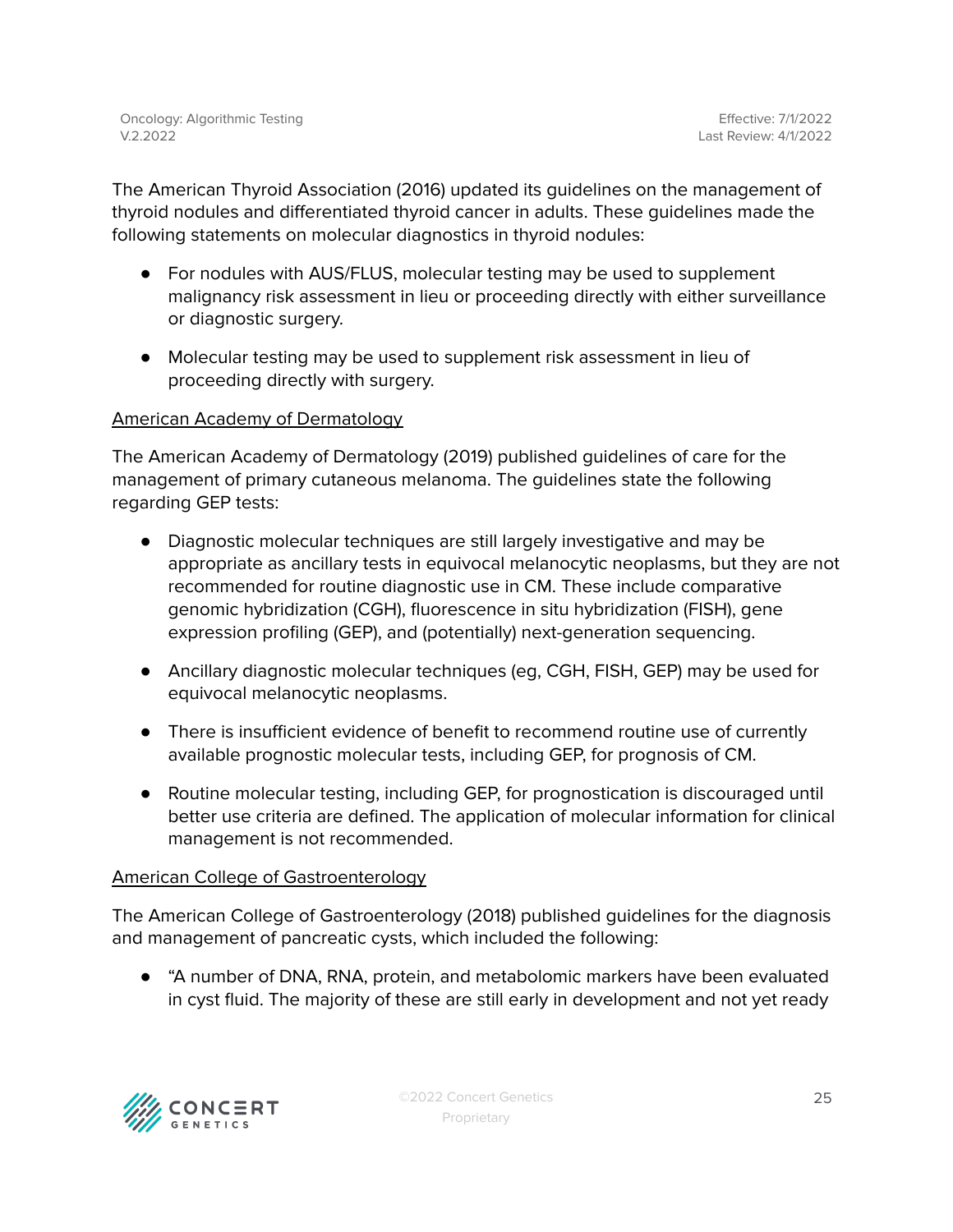The American Thyroid Association (2016) updated its guidelines on the management of thyroid nodules and differentiated thyroid cancer in adults. These guidelines made the following statements on molecular diagnostics in thyroid nodules:

- For nodules with AUS/FLUS, molecular testing may be used to supplement malignancy risk assessment in lieu or proceeding directly with either surveillance or diagnostic surgery.
- Molecular testing may be used to supplement risk assessment in lieu of proceeding directly with surgery.

#### American Academy of Dermatology

The American Academy of Dermatology (2019) published guidelines of care for the management of primary cutaneous melanoma. The guidelines state the following regarding GEP tests:

- Diagnostic molecular techniques are still largely investigative and may be appropriate as ancillary tests in equivocal melanocytic neoplasms, but they are not recommended for routine diagnostic use in CM. These include comparative genomic hybridization (CGH), fluorescence in situ hybridization (FISH), gene expression profiling (GEP), and (potentially) next-generation sequencing.
- Ancillary diagnostic molecular techniques (eg, CGH, FISH, GEP) may be used for equivocal melanocytic neoplasms.
- There is insufficient evidence of benefit to recommend routine use of currently available prognostic molecular tests, including GEP, for prognosis of CM.
- Routine molecular testing, including GEP, for prognostication is discouraged until better use criteria are defined. The application of molecular information for clinical management is not recommended.

#### American College of Gastroenterology

The American College of Gastroenterology (2018) published guidelines for the diagnosis and management of pancreatic cysts, which included the following:

● "A number of DNA, RNA, protein, and metabolomic markers have been evaluated in cyst fluid. The majority of these are still early in development and not yet ready

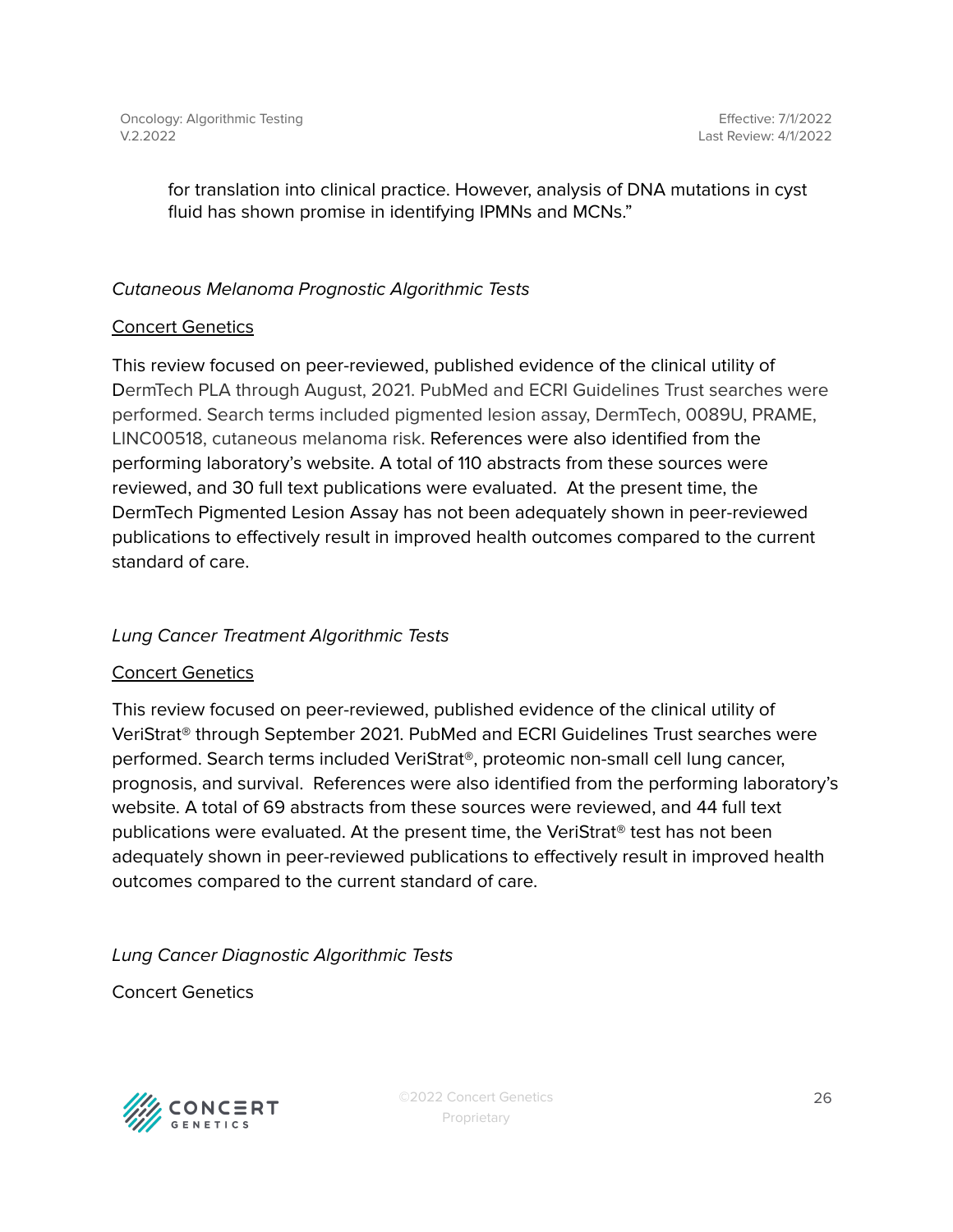for translation into clinical practice. However, analysis of DNA mutations in cyst fluid has shown promise in identifying IPMNs and MCNs."

#### Cutaneous Melanoma Prognostic Algorithmic Tests

#### Concert Genetics

This review focused on peer-reviewed, published evidence of the clinical utility of DermTech PLA through August, 2021. PubMed and ECRI Guidelines Trust searches were performed. Search terms included pigmented lesion assay, DermTech, 0089U, PRAME, LINC00518, cutaneous melanoma risk. References were also identified from the performing laboratory's website. A total of 110 abstracts from these sources were reviewed, and 30 full text publications were evaluated. At the present time, the DermTech Pigmented Lesion Assay has not been adequately shown in peer-reviewed publications to effectively result in improved health outcomes compared to the current standard of care.

#### Lung Cancer Treatment Algorithmic Tests

#### Concert Genetics

This review focused on peer-reviewed, published evidence of the clinical utility of VeriStrat® through September 2021. PubMed and ECRI Guidelines Trust searches were performed. Search terms included VeriStrat®, proteomic non-small cell lung cancer, prognosis, and survival. References were also identified from the performing laboratory's website. A total of 69 abstracts from these sources were reviewed, and 44 full text publications were evaluated. At the present time, the VeriStrat® test has not been adequately shown in peer-reviewed publications to effectively result in improved health outcomes compared to the current standard of care.

Lung Cancer Diagnostic Algorithmic Tests

Concert Genetics

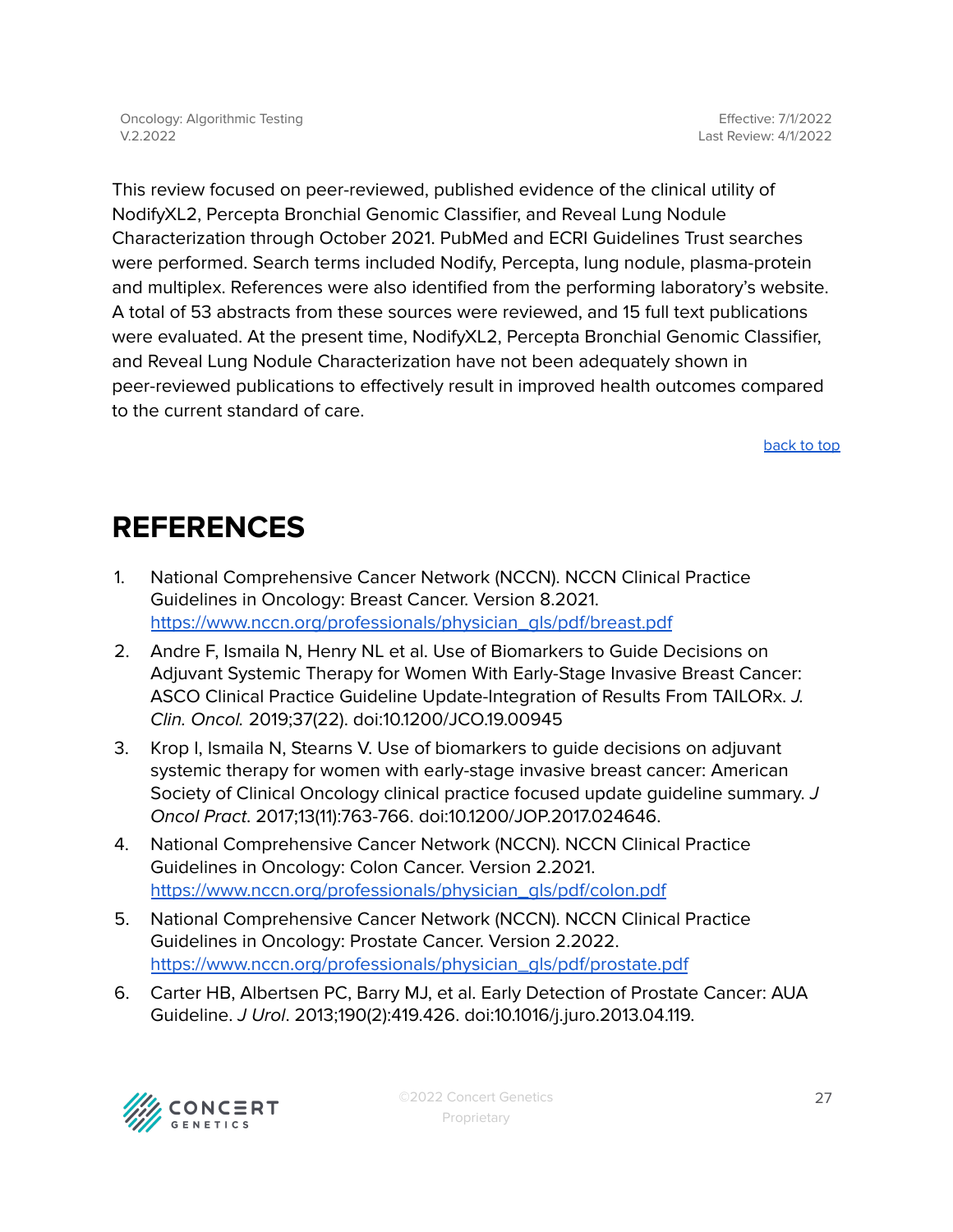This review focused on peer-reviewed, published evidence of the clinical utility of NodifyXL2, Percepta Bronchial Genomic Classifier, and Reveal Lung Nodule Characterization through October 2021. PubMed and ECRI Guidelines Trust searches were performed. Search terms included Nodify, Percepta, lung nodule, plasma-protein and multiplex. References were also identified from the performing laboratory's website. A total of 53 abstracts from these sources were reviewed, and 15 full text publications were evaluated. At the present time, NodifyXL2, Percepta Bronchial Genomic Classifier, and Reveal Lung Nodule Characterization have not been adequately shown in peer-reviewed publications to effectively result in improved health outcomes compared to the current standard of care.

[back](#page-0-0) to top

## <span id="page-26-0"></span>**REFERENCES**

- 1. National Comprehensive Cancer Network (NCCN). NCCN Clinical Practice Guidelines in Oncology: Breast Cancer. Version 8.2021. [https://www.nccn.org/professionals/physician\\_gls/pdf/breast.pdf](https://www.nccn.org/professionals/physician_gls/pdf/breast.pdf)
- 2. Andre F, Ismaila N, Henry NL et al. Use of Biomarkers to Guide Decisions on Adjuvant Systemic Therapy for Women With Early-Stage Invasive Breast Cancer: ASCO Clinical Practice Guideline Update-Integration of Results From TAILORx. J. Clin. Oncol. 2019;37(22). doi:10.1200/JCO.19.00945
- 3. Krop I, Ismaila N, Stearns V. Use of biomarkers to guide decisions on adjuvant systemic therapy for women with early-stage invasive breast cancer: American Society of Clinical Oncology clinical practice focused update guideline summary. J Oncol Pract. 2017;13(11):763-766. doi:10.1200/JOP.2017.024646.
- 4. National Comprehensive Cancer Network (NCCN). NCCN Clinical Practice Guidelines in Oncology: Colon Cancer. Version 2.2021. [https://www.nccn.org/professionals/physician\\_gls/pdf/colon.pdf](https://www.nccn.org/professionals/physician_gls/pdf/colon.pdf)
- 5. National Comprehensive Cancer Network (NCCN). NCCN Clinical Practice Guidelines in Oncology: Prostate Cancer. Version 2.2022. [https://www.nccn.org/professionals/physician\\_gls/pdf/prostate.pdf](https://www.nccn.org/professionals/physician_gls/pdf/prostate.pdf)
- 6. Carter HB, Albertsen PC, Barry MJ, et al. Early Detection of Prostate Cancer: AUA Guideline. J Urol. 2013;190(2):419.426. doi:10.1016/j.juro.2013.04.119.

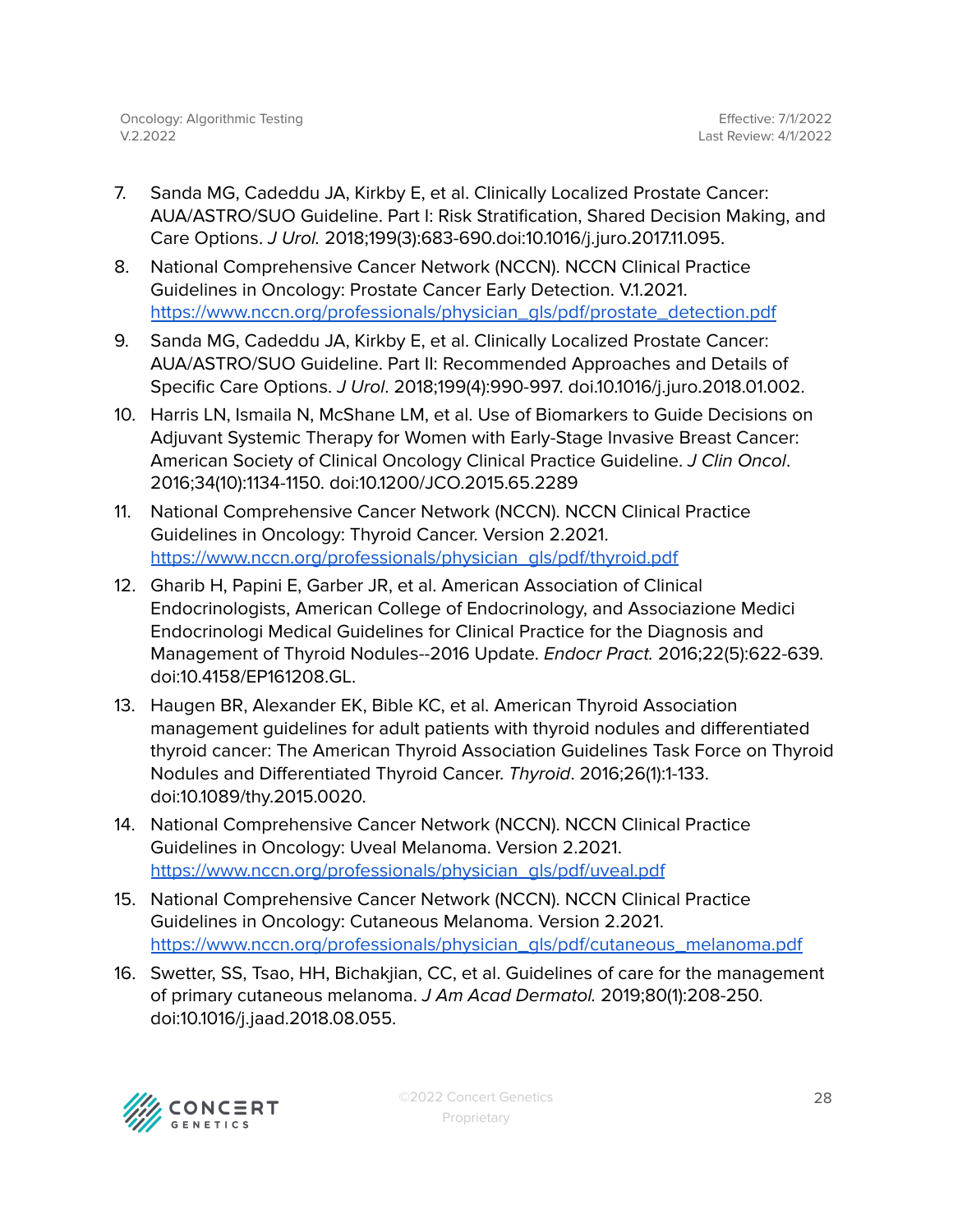- 7. Sanda MG, Cadeddu JA, Kirkby E, et al. Clinically Localized Prostate Cancer: AUA/ASTRO/SUO Guideline. Part I: Risk Stratification, Shared Decision Making, and Care Options. J Urol. 2018;199(3):683-690.doi:10.1016/j.juro.2017.11.095.
- 8. National Comprehensive Cancer Network (NCCN). NCCN Clinical Practice Guidelines in Oncology: Prostate Cancer Early Detection. V.1.2021. [https://www.nccn.org/professionals/physician\\_gls/pdf/prostate\\_detection.pdf](https://www.nccn.org/professionals/physician_gls/pdf/prostate_detection.pdf)
- 9. Sanda MG, Cadeddu JA, Kirkby E, et al. Clinically Localized Prostate Cancer: AUA/ASTRO/SUO Guideline. Part II: Recommended Approaches and Details of Specific Care Options. J Urol. 2018;199(4):990-997. doi.10.1016/j.juro.2018.01.002.
- 10. Harris LN, Ismaila N, McShane LM, et al. Use of Biomarkers to Guide Decisions on Adjuvant Systemic Therapy for Women with Early-Stage Invasive Breast Cancer: American Society of Clinical Oncology Clinical Practice Guideline. J Clin Oncol. 2016;34(10):1134-1150. doi:10.1200/JCO.2015.65.2289
- 11. National Comprehensive Cancer Network (NCCN). NCCN Clinical Practice Guidelines in Oncology: Thyroid Cancer. Version 2.2021. [https://www.nccn.org/professionals/physician\\_gls/pdf/thyroid.pdf](https://www.nccn.org/professionals/physician_gls/pdf/thyroid.pdf)
- 12. Gharib H, Papini E, Garber JR, et al. American Association of Clinical Endocrinologists, American College of Endocrinology, and Associazione Medici Endocrinologi Medical Guidelines for Clinical Practice for the Diagnosis and Management of Thyroid Nodules--2016 Update. Endocr Pract. 2016;22(5):622-639. doi:10.4158/EP161208.GL.
- 13. Haugen BR, Alexander EK, Bible KC, et al. American Thyroid Association management guidelines for adult patients with thyroid nodules and differentiated thyroid cancer: The American Thyroid Association Guidelines Task Force on Thyroid Nodules and Differentiated Thyroid Cancer. Thyroid. 2016;26(1):1-133. doi:10.1089/thy.2015.0020.
- 14. National Comprehensive Cancer Network (NCCN). NCCN Clinical Practice Guidelines in Oncology: Uveal Melanoma. Version 2.2021. [https://www.nccn.org/professionals/physician\\_gls/pdf/uveal.pdf](https://www.nccn.org/professionals/physician_gls/pdf/uveal.pdf)
- 15. National Comprehensive Cancer Network (NCCN). NCCN Clinical Practice Guidelines in Oncology: Cutaneous Melanoma. Version 2.2021. [https://www.nccn.org/professionals/physician\\_gls/pdf/cutaneous\\_melanoma.pdf](https://www.nccn.org/professionals/physician_gls/pdf/cutaneous_melanoma.pdf)
- 16. Swetter, SS, Tsao, HH, Bichakjian, CC, et al. Guidelines of care for the management of primary cutaneous melanoma. J Am Acad Dermatol. 2019;80(1):208-250. doi:10.1016/j.jaad.2018.08.055.

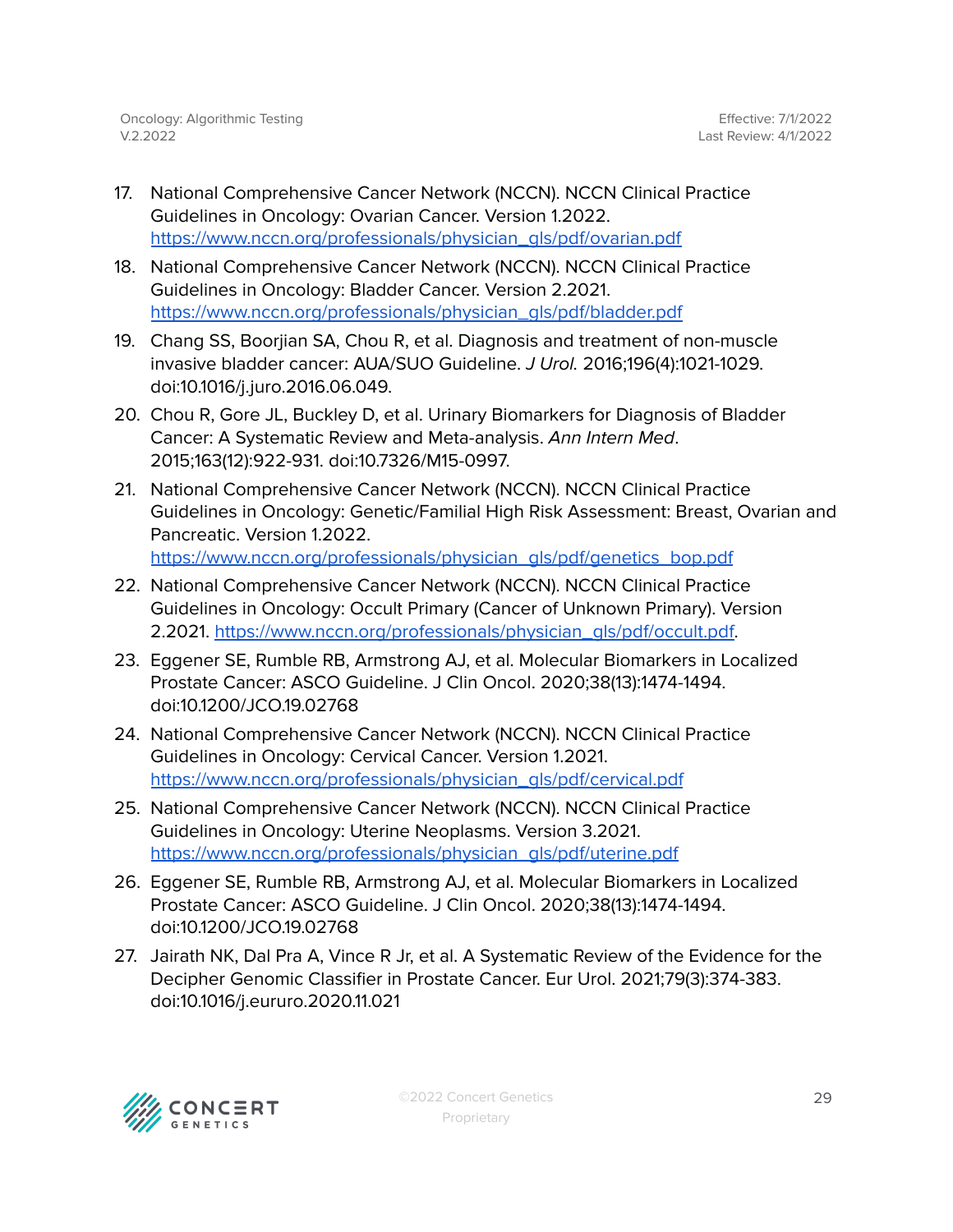- 17. National Comprehensive Cancer Network (NCCN). NCCN Clinical Practice Guidelines in Oncology: Ovarian Cancer. Version 1.2022. [https://www.nccn.org/professionals/physician\\_gls/pdf/ovarian.pdf](https://www.nccn.org/professionals/physician_gls/pdf/ovarian.pdf)
- 18. National Comprehensive Cancer Network (NCCN). NCCN Clinical Practice Guidelines in Oncology: Bladder Cancer. Version 2.2021. [https://www.nccn.org/professionals/physician\\_gls/pdf/bladder.pdf](https://www.nccn.org/professionals/physician_gls/pdf/bladder.pdf)
- 19. Chang SS, Boorjian SA, Chou R, et al. Diagnosis and treatment of non-muscle invasive bladder cancer: AUA/SUO Guideline. J Urol. 2016;196(4):1021-1029. doi:10.1016/j.juro.2016.06.049.
- 20. Chou R, Gore JL, Buckley D, et al. Urinary Biomarkers for Diagnosis of Bladder Cancer: A Systematic Review and Meta-analysis. Ann Intern Med. 2015;163(12):922-931. doi:10.7326/M15-0997.
- 21. National Comprehensive Cancer Network (NCCN). NCCN Clinical Practice Guidelines in Oncology: Genetic/Familial High Risk Assessment: Breast, Ovarian and Pancreatic. Version 1.2022. [https://www.nccn.org/professionals/physician\\_gls/pdf/genetics\\_bop.pdf](https://www.nccn.org/professionals/physician_gls/pdf/genetics_bop.pdf)
- 22. National Comprehensive Cancer Network (NCCN). NCCN Clinical Practice Guidelines in Oncology: Occult Primary (Cancer of Unknown Primary). Version 2.2021. [https://www.nccn.org/professionals/physician\\_gls/pdf/occult.pdf.](https://www.nccn.org/professionals/physician_gls/pdf/occult.pdf)
- 23. Eggener SE, Rumble RB, Armstrong AJ, et al. Molecular Biomarkers in Localized Prostate Cancer: ASCO Guideline. J Clin Oncol. 2020;38(13):1474-1494. doi:10.1200/JCO.19.02768
- 24. National Comprehensive Cancer Network (NCCN). NCCN Clinical Practice Guidelines in Oncology: Cervical Cancer. Version 1.2021. [https://www.nccn.org/professionals/physician\\_gls/pdf/cervical.pdf](https://www.nccn.org/professionals/physician_gls/pdf/cervical.pdf)
- 25. National Comprehensive Cancer Network (NCCN). NCCN Clinical Practice Guidelines in Oncology: Uterine Neoplasms. Version 3.2021. [https://www.nccn.org/professionals/physician\\_gls/pdf/uterine.pdf](https://www.nccn.org/professionals/physician_gls/pdf/cervical.pdf)
- 26. Eggener SE, Rumble RB, Armstrong AJ, et al. Molecular Biomarkers in Localized Prostate Cancer: ASCO Guideline. J Clin Oncol. 2020;38(13):1474-1494. doi:10.1200/JCO.19.02768
- 27. Jairath NK, Dal Pra A, Vince R Jr, et al. A Systematic Review of the Evidence for the Decipher Genomic Classifier in Prostate Cancer. Eur Urol. 2021;79(3):374-383. doi:10.1016/j.eururo.2020.11.021